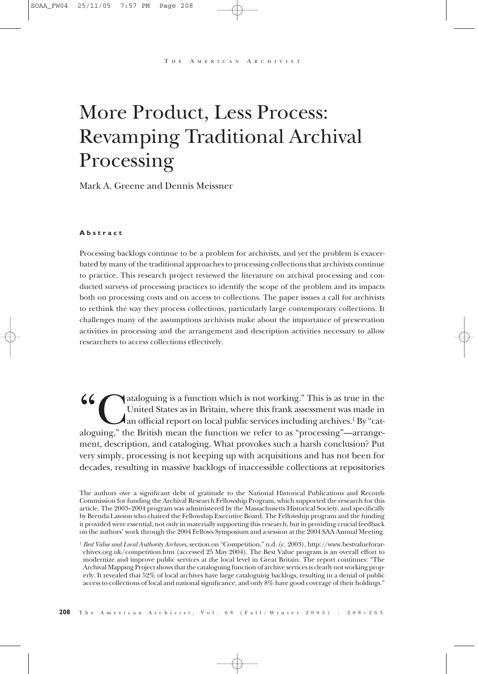# More Product, Less Process: Revamping Traditional Archival Processing

Mark A. Greene and Dennis Meissner

#### **Abstract**

Processing backlogs continue to be a problem for archivists, and yet the problem is exacerbated by many of the traditional approaches to processing collections that archivists continue to practice. This research project reviewed the literature on archival processing and conducted surveys of processing practices to identify the scope of the problem and its impacts both on processing costs and on access to collections. The paper issues a call for archivists to rethink the way they process collections, particularly large contemporary collections. It challenges many of the assumptions archivists make about the importance of preservation activities in processing and the arrangement and description activities necessary to allow researchers to access collections effectively.

Gogging is a function which is not working." This is as true in the United States as in Britain, where this frank assessment was made in an official report on local public services including archives.<sup>1</sup> By "cataloguing," United States as in Britain, where this frank assessment was made in an official report on local public services including archives.1 By "cataloguing," the British mean the function we refer to as "processing"—arrangement, description, and cataloging. What provokes such a harsh conclusion? Put very simply, processing is not keeping up with acquisitions and has not been for decades, resulting in massive backlogs of inaccessible collections at repositories

The authors owe a significant debt of gratitude to the National Historical Publications and Records Commission for funding the Archival Research Fellowship Program, which supported the research for this article. The 2003–2004 program was administered by the Massachusetts Historical Society, and specifically by Brenda Lawson who chaired the Fellowship Executive Board. The Fellowship program and the funding it provided were essential, not only in materially supporting this research, but in providing crucial feedback on the authors' work through the 2004 Fellows Symposium and a session at the 2004 SAA Annual Meeting.

<sup>1</sup> *Best Value and Local Authority Archives*, section on "Competition," n.d. (c. 2003), http://www.bestvalueforarchives.org.uk/competition.htm (accessed 25 May 2004). The Best Value program is an overall effort to modernize and improve public services at the local level in Great Britain. The report continues: "The Archival Mapping Project shows that the cataloguing function of archive services is clearly not working properly. It revealed that 52% of local archives have large cataloguing backlogs, resulting in a denial of public access to collections of local and national significance, and only 8% have good coverage of their holdings."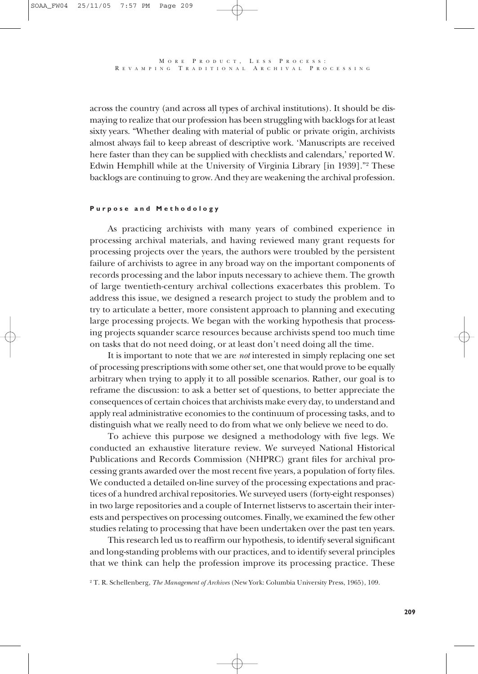across the country (and across all types of archival institutions). It should be dismaying to realize that our profession has been struggling with backlogs for at least sixty years. "Whether dealing with material of public or private origin, archivists almost always fail to keep abreast of descriptive work. 'Manuscripts are received here faster than they can be supplied with checklists and calendars,' reported W. Edwin Hemphill while at the University of Virginia Library [in 1939]."2 These backlogs are continuing to grow. And they are weakening the archival profession.

#### **Purpose and Methodology**

As practicing archivists with many years of combined experience in processing archival materials, and having reviewed many grant requests for processing projects over the years, the authors were troubled by the persistent failure of archivists to agree in any broad way on the important components of records processing and the labor inputs necessary to achieve them. The growth of large twentieth-century archival collections exacerbates this problem. To address this issue, we designed a research project to study the problem and to try to articulate a better, more consistent approach to planning and executing large processing projects. We began with the working hypothesis that processing projects squander scarce resources because archivists spend too much time on tasks that do not need doing, or at least don't need doing all the time.

It is important to note that we are *not* interested in simply replacing one set of processing prescriptions with some other set, one that would prove to be equally arbitrary when trying to apply it to all possible scenarios. Rather, our goal is to reframe the discussion: to ask a better set of questions, to better appreciate the consequences of certain choices that archivists make every day, to understand and apply real administrative economies to the continuum of processing tasks, and to distinguish what we really need to do from what we only believe we need to do.

To achieve this purpose we designed a methodology with five legs. We conducted an exhaustive literature review. We surveyed National Historical Publications and Records Commission (NHPRC) grant files for archival processing grants awarded over the most recent five years, a population of forty files. We conducted a detailed on-line survey of the processing expectations and practices of a hundred archival repositories. We surveyed users (forty-eight responses) in two large repositories and a couple of Internet listservs to ascertain their interests and perspectives on processing outcomes. Finally, we examined the few other studies relating to processing that have been undertaken over the past ten years.

This research led us to reaffirm our hypothesis, to identify several significant and long-standing problems with our practices, and to identify several principles that we think can help the profession improve its processing practice. These

<sup>2</sup> T. R. Schellenberg, *The Management of Archives* (New York: Columbia University Press, 1965), 109.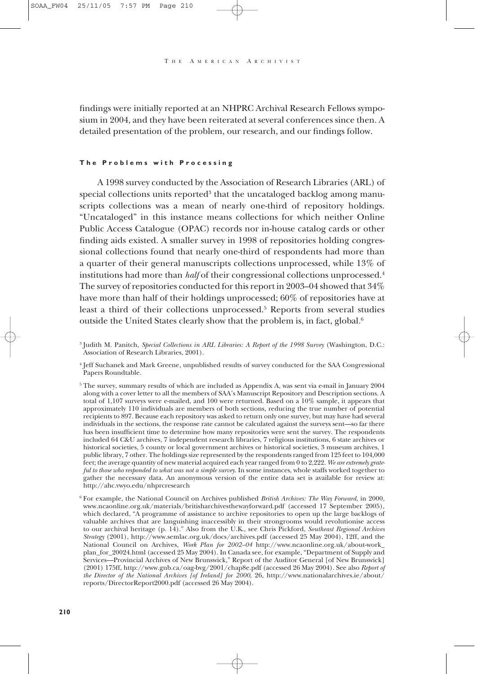findings were initially reported at an NHPRC Archival Research Fellows symposium in 2004, and they have been reiterated at several conferences since then. A detailed presentation of the problem, our research, and our findings follow.

#### **The Problems with Processing**

A 1998 survey conducted by the Association of Research Libraries (ARL) of special collections units reported<sup>3</sup> that the uncataloged backlog among manuscripts collections was a mean of nearly one-third of repository holdings. "Uncataloged" in this instance means collections for which neither Online Public Access Catalogue (OPAC) records nor in-house catalog cards or other finding aids existed. A smaller survey in 1998 of repositories holding congressional collections found that nearly one-third of respondents had more than a quarter of their general manuscripts collections unprocessed, while 13% of institutions had more than *half* of their congressional collections unprocessed.<sup>4</sup> The survey of repositories conducted for this report in 2003–04 showed that 34% have more than half of their holdings unprocessed; 60% of repositories have at least a third of their collections unprocessed.<sup>5</sup> Reports from several studies outside the United States clearly show that the problem is, in fact, global.6

<sup>3</sup> Judith M. Panitch, *Special Collections in ARL Libraries: A Report of the 1998 Survey* (Washington, D.C.: Association of Research Libraries, 2001).

<sup>4</sup> Jeff Suchanek and Mark Greene, unpublished results of survey conducted for the SAA Congressional Papers Roundtable.

<sup>5</sup> The survey, summary results of which are included as Appendix A, was sent via e-mail in January 2004 along with a cover letter to all the members of SAA's Manuscript Repository and Description sections. A total of 1,107 surveys were e-mailed, and 100 were returned. Based on a 10% sample, it appears that approximately 110 individuals are members of both sections, reducing the true number of potential recipients to 897. Because each repository was asked to return only one survey, but may have had several individuals in the sections, the response rate cannot be calculated against the surveys sent—so far there has been insufficient time to determine how many repositories were sent the survey. The respondents included 64 C&U archives, 7 independent research libraries, 7 religious institutions, 6 state archives or historical societies, 5 county or local government archives or historical societies, 3 museum archives, 1 public library, 7 other. The holdings size represented by the respondents ranged from 125 feet to 104,000 feet; the average quantity of new material acquired each year ranged from 0 to 2,222. *We are extremely grateful to those who responded to what was not a simple survey*. In some instances, whole staffs worked together to gather the necessary data. An anonymous version of the entire data set is available for review at: http://ahc.vwyo.edu/nhprcresearch

<sup>6</sup> For example, the National Council on Archives published *British Archives: The Way Forward*, in 2000, www.ncaonline.org.uk/materials/britisharchivesthewayforward.pdf (accessed 17 September 2005), which declared, "A programme of assistance to archive repositories to open up the large backlogs of valuable archives that are languishing inaccessibly in their strongrooms would revolutionise access to our archival heritage (p. 14)." Also from the U.K., see Chris Pickford, *Southeast Regional Archives Strategy* (2001), http://www.semlac.org.uk/docs/archives.pdf (accessed 25 May 2004), 12ff, and the National Council on Archives, *Work Plan for 2002–04* http://www.ncaonline.org.uk/about-work\_ plan\_for\_20024.html (accessed 25 May 2004). In Canada see, for example, "Department of Supply and Services—Provincial Archives of New Brunswick," Report of the Auditor General [of New Brunswick] (2001) 175ff, http://www.gnb.ca/oag-bvg/2001/chap8e.pdf (accessed 26 May 2004). See also *Report of the Director of the National Archives [of Ireland] for 2000*, 26, http://www.nationalarchives.ie/about/ reports/DirectorReport2000.pdf (accessed 26 May 2004).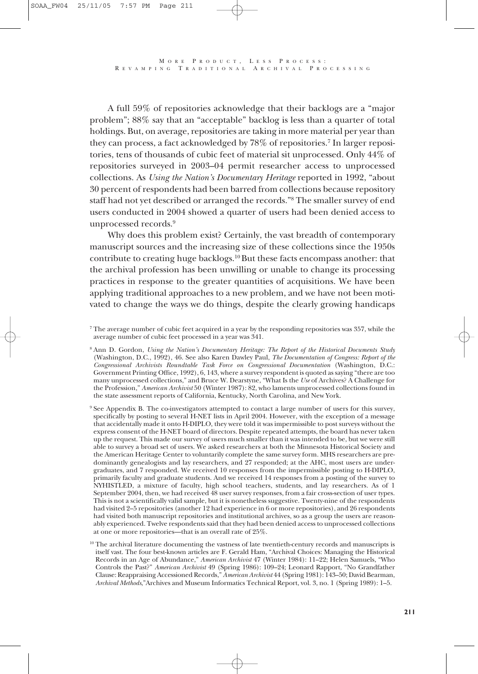A full 59% of repositories acknowledge that their backlogs are a "major problem"; 88% say that an "acceptable" backlog is less than a quarter of total holdings. But, on average, repositories are taking in more material per year than they can process, a fact acknowledged by 78% of repositories.7 In larger repositories, tens of thousands of cubic feet of material sit unprocessed. Only 44% of repositories surveyed in 2003–04 permit researcher access to unprocessed collections. As *Using the Nation's Documentary Heritage* reported in 1992, "about 30 percent of respondents had been barred from collections because repository staff had not yet described or arranged the records."8 The smaller survey of end users conducted in 2004 showed a quarter of users had been denied access to unprocessed records.9

Why does this problem exist? Certainly, the vast breadth of contemporary manuscript sources and the increasing size of these collections since the 1950s contribute to creating huge backlogs.10 But these facts encompass another: that the archival profession has been unwilling or unable to change its processing practices in response to the greater quantities of acquisitions. We have been applying traditional approaches to a new problem, and we have not been motivated to change the ways we do things, despite the clearly growing handicaps

<sup>9</sup> See Appendix B. The co-investigators attempted to contact a large number of users for this survey, specifically by posting to several H-NET lists in April 2004. However, with the exception of a message that accidentally made it onto H-DIPLO, they were told it was impermissible to post surveys without the express consent of the H-NET board of directors. Despite repeated attempts, the board has never taken up the request. This made our survey of users much smaller than it was intended to be, but we were still able to survey a broad set of users. We asked researchers at both the Minnesota Historical Society and the American Heritage Center to voluntarily complete the same survey form. MHS researchers are predominantly genealogists and lay researchers, and 27 responded; at the AHC, most users are undergraduates, and 7 responded. We received 10 responses from the impermissible posting to H-DIPLO, primarily faculty and graduate students. And we received 14 responses from a posting of the survey to NYHISTLED, a mixture of faculty, high school teachers, students, and lay researchers. As of 1 September 2004, then, we had received 48 user survey responses, from a fair cross-section of user types. This is not a scientifically valid sample, but it is nonetheless suggestive. Twenty-nine of the respondents had visited 2–5 repositories (another 12 had experience in 6 or more repositories), and 26 respondents had visited both manuscript repositories and institutional archives, so as a group the users are reasonably experienced. Twelve respondents said that they had been denied access to unprocessed collections at one or more repositories—that is an overall rate of 25%.

<sup>7</sup> The average number of cubic feet acquired in a year by the responding repositories was 357, while the average number of cubic feet processed in a year was 341.

<sup>8</sup> Ann D. Gordon, *Using the Nation's Documentary Heritage: The Report of the Historical Documents Study* (Washington, D.C., 1992), 46. See also Karen Dawley Paul, *The Documentation of Congress: Report of the Congressional Archivists Roundtable Task Force on Congressional Documentation* (Washington, D.C.: Government Printing Office, 1992), 6, 143, where a survey respondent is quoted as saying "there are too many unprocessed collections," and Bruce W. Dearstyne, "What Is the *Use* of Archives? A Challenge for the Profession," *American Archivist* 50 (Winter 1987): 82, who laments unprocessed collections found in the state assessment reports of California, Kentucky, North Carolina, and New York.

<sup>&</sup>lt;sup>10</sup> The archival literature documenting the vastness of late twentieth-century records and manuscripts is itself vast. The four best-known articles are F. Gerald Ham, "Archival Choices: Managing the Historical Records in an Age of Abundance," *American Archivist* 47 (Winter 1984): 11–22; Helen Samuels, "Who Controls the Past?" *American Archivist* 49 (Spring 1986): 109–24; Leonard Rapport, "No Grandfather Clause: Reappraising Accessioned Records," *American Archivist* 44 (Spring 1981): 143–50; David Bearman, *Archival Methods*,"Archives and Museum Informatics Technical Report, vol. 3, no. 1 (Spring 1989): 1–5.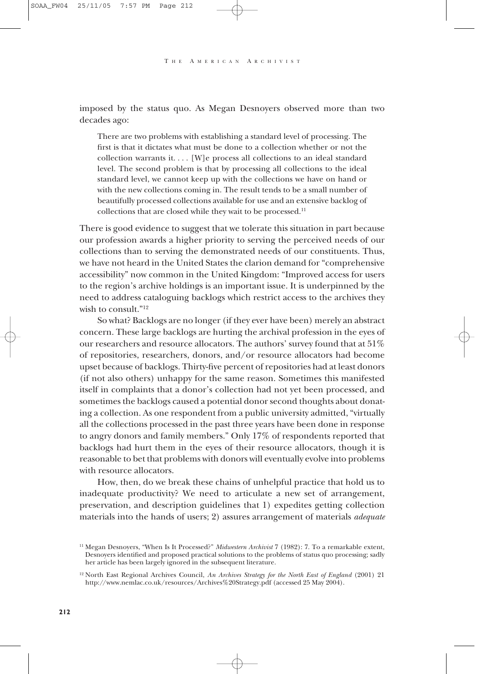imposed by the status quo. As Megan Desnoyers observed more than two decades ago:

There are two problems with establishing a standard level of processing. The first is that it dictates what must be done to a collection whether or not the collection warrants it. . . . [W]e process all collections to an ideal standard level. The second problem is that by processing all collections to the ideal standard level, we cannot keep up with the collections we have on hand or with the new collections coming in. The result tends to be a small number of beautifully processed collections available for use and an extensive backlog of collections that are closed while they wait to be processed.<sup>11</sup>

There is good evidence to suggest that we tolerate this situation in part because our profession awards a higher priority to serving the perceived needs of our collections than to serving the demonstrated needs of our constituents. Thus, we have not heard in the United States the clarion demand for "comprehensive accessibility" now common in the United Kingdom: "Improved access for users to the region's archive holdings is an important issue. It is underpinned by the need to address cataloguing backlogs which restrict access to the archives they wish to consult."<sup>12</sup>

So what? Backlogs are no longer (if they ever have been) merely an abstract concern. These large backlogs are hurting the archival profession in the eyes of our researchers and resource allocators. The authors' survey found that at 51% of repositories, researchers, donors, and/or resource allocators had become upset because of backlogs. Thirty-five percent of repositories had at least donors (if not also others) unhappy for the same reason. Sometimes this manifested itself in complaints that a donor's collection had not yet been processed, and sometimes the backlogs caused a potential donor second thoughts about donating a collection. As one respondent from a public university admitted, "virtually all the collections processed in the past three years have been done in response to angry donors and family members." Only 17% of respondents reported that backlogs had hurt them in the eyes of their resource allocators, though it is reasonable to bet that problems with donors will eventually evolve into problems with resource allocators.

How, then, do we break these chains of unhelpful practice that hold us to inadequate productivity? We need to articulate a new set of arrangement, preservation, and description guidelines that 1) expedites getting collection materials into the hands of users; 2) assures arrangement of materials *adequate*

<sup>11</sup> Megan Desnoyers, "When Is It Processed?" *Midwestern Archivist* 7 (1982): 7. To a remarkable extent, Desnoyers identified and proposed practical solutions to the problems of status quo processing; sadly her article has been largely ignored in the subsequent literature.

<sup>12</sup> North East Regional Archives Council, *An Archives Strategy for the North East of England* (2001) 21 http://www.nemlac.co.uk/resources/Archives%20Strategy.pdf (accessed 25 May 2004).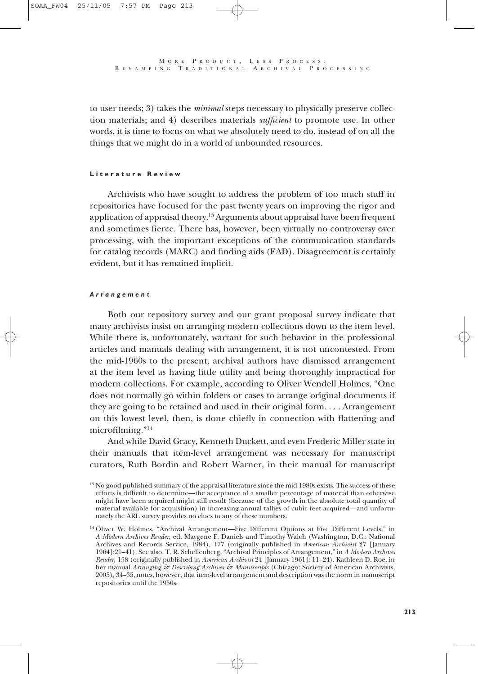to user needs; 3) takes the *minimal* steps necessary to physically preserve collection materials; and 4) describes materials *sufficient* to promote use. In other words, it is time to focus on what we absolutely need to do, instead of on all the things that we might do in a world of unbounded resources.

#### **Literature Review**

Archivists who have sought to address the problem of too much stuff in repositories have focused for the past twenty years on improving the rigor and application of appraisal theory.13 Arguments about appraisal have been frequent and sometimes fierce. There has, however, been virtually no controversy over processing, with the important exceptions of the communication standards for catalog records (MARC) and finding aids (EAD). Disagreement is certainly evident, but it has remained implicit.

#### *Arrangement*

Both our repository survey and our grant proposal survey indicate that many archivists insist on arranging modern collections down to the item level. While there is, unfortunately, warrant for such behavior in the professional articles and manuals dealing with arrangement, it is not uncontested. From the mid-1960s to the present, archival authors have dismissed arrangement at the item level as having little utility and being thoroughly impractical for modern collections. For example, according to Oliver Wendell Holmes, "One does not normally go within folders or cases to arrange original documents if they are going to be retained and used in their original form. . . . Arrangement on this lowest level, then, is done chiefly in connection with flattening and microfilming."14

And while David Gracy, Kenneth Duckett, and even Frederic Miller state in their manuals that item-level arrangement was necessary for manuscript curators, Ruth Bordin and Robert Warner, in their manual for manuscript

<sup>&</sup>lt;sup>13</sup> No good published summary of the appraisal literature since the mid-1980s exists. The success of these efforts is difficult to determine—the acceptance of a smaller percentage of material than otherwise might have been acquired might still result (because of the growth in the absolute total quantity of material available for acquisition) in increasing annual tallies of cubic feet acquired—and unfortunately the ARL survey provides no clues to any of these numbers.

<sup>14</sup> Oliver W. Holmes, "Archival Arrangement—Five Different Options at Five Different Levels," in *A Modern Archives Reader*, ed. Maygene F. Daniels and Timothy Walch (Washington, D.C.: National Archives and Records Service, 1984), 177 (originally published in *American Archivist* 27 [January 1964]:21–41). See also, T. R. Schellenberg, "Archival Principles of Arrangement," in *A Modern Archives Reader,* 158 (originally published in *American Archivist* 24 [January 1961]: 11–24). Kathleen D. Roe, in her manual *Arranging & Describing Archives & Manuscripts* (Chicago: Society of American Archivists, 2005), 34–35, notes, however, that item-level arrangement and description was the norm in manuscript repositories until the 1950s.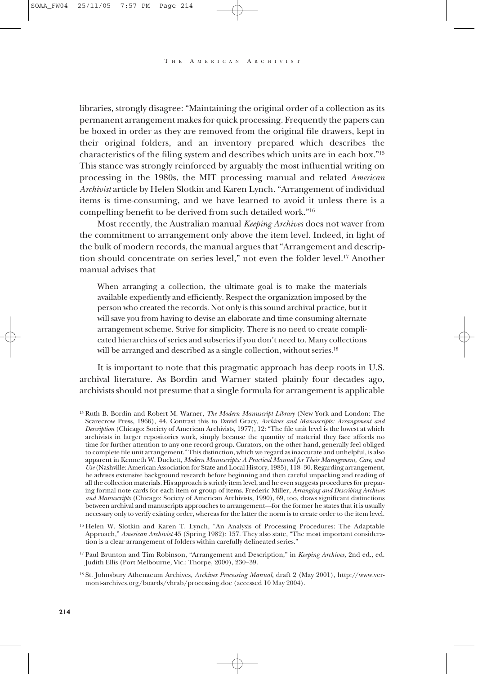libraries, strongly disagree: "Maintaining the original order of a collection as its permanent arrangement makes for quick processing. Frequently the papers can be boxed in order as they are removed from the original file drawers, kept in their original folders, and an inventory prepared which describes the characteristics of the filing system and describes which units are in each box."15 This stance was strongly reinforced by arguably the most influential writing on processing in the 1980s, the MIT processing manual and related *American Archivist* article by Helen Slotkin and Karen Lynch. "Arrangement of individual items is time-consuming, and we have learned to avoid it unless there is a compelling benefit to be derived from such detailed work."16

Most recently, the Australian manual *Keeping Archives* does not waver from the commitment to arrangement only above the item level. Indeed, in light of the bulk of modern records, the manual argues that "Arrangement and description should concentrate on series level," not even the folder level.17 Another manual advises that

When arranging a collection, the ultimate goal is to make the materials available expediently and efficiently. Respect the organization imposed by the person who created the records. Not only is this sound archival practice, but it will save you from having to devise an elaborate and time consuming alternate arrangement scheme. Strive for simplicity. There is no need to create complicated hierarchies of series and subseries if you don't need to. Many collections will be arranged and described as a single collection, without series.<sup>18</sup>

It is important to note that this pragmatic approach has deep roots in U.S. archival literature. As Bordin and Warner stated plainly four decades ago, archivists should not presume that a single formula for arrangement is applicable

<sup>16</sup> Helen W. Slotkin and Karen T. Lynch, "An Analysis of Processing Procedures: The Adaptable Approach," *American Archivist* 45 (Spring 1982): 157. They also state, "The most important consideration is a clear arrangement of folders within carefully delineated series."

<sup>15</sup> Ruth B. Bordin and Robert M. Warner, *The Modern Manuscript Library* (New York and London: The Scarecrow Press, 1966), 44. Contrast this to David Gracy, *Archives and Manuscripts: Arrangement and Description* (Chicago: Society of American Archivists, 1977), 12: "The file unit level is the lowest at which archivists in larger repositories work, simply because the quantity of material they face affords no time for further attention to any one record group. Curators, on the other hand, generally feel obliged to complete file unit arrangement." This distinction, which we regard as inaccurate and unhelpful, is also apparent in Kenneth W. Duckett, *Modern Manuscripts: A Practical Manual for Their Management, Care, and Use* (Nashville: American Association for State and Local History, 1985), 118–30. Regarding arrangement, he advises extensive background research before beginning and then careful unpacking and reading of all the collection materials. His approach is strictly item level, and he even suggests procedures for preparing formal note cards for each item or group of items. Frederic Miller, *Arranging and Describing Archives and Manuscripts* (Chicago: Society of American Archivists, 1990), 69, too, draws significant distinctions between archival and manuscripts approaches to arrangement—for the former he states that it is usually necessary only to verify existing order, whereas for the latter the norm is to create order to the item level.

<sup>17</sup> Paul Brunton and Tim Robinson, "Arrangement and Description," in *Keeping Archives,* 2nd ed., ed. Judith Ellis (Port Melbourne, Vic.: Thorpe, 2000), 230–39.

<sup>18</sup> St. Johnsbury Athenaeum Archives, *Archives Processing Manual*, draft 2 (May 2001), http://www.vermont-archives.org/boards/vhrab/processing.doc (accessed 10 May 2004).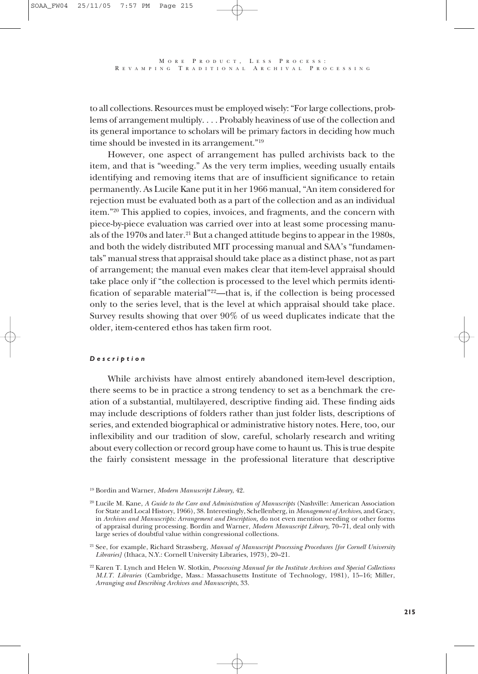to all collections. Resources must be employed wisely: "For large collections, problems of arrangement multiply. . . . Probably heaviness of use of the collection and its general importance to scholars will be primary factors in deciding how much time should be invested in its arrangement."19

However, one aspect of arrangement has pulled archivists back to the item, and that is "weeding." As the very term implies, weeding usually entails identifying and removing items that are of insufficient significance to retain permanently. As Lucile Kane put it in her 1966 manual, "An item considered for rejection must be evaluated both as a part of the collection and as an individual item."20 This applied to copies, invoices, and fragments, and the concern with piece-by-piece evaluation was carried over into at least some processing manuals of the 1970s and later.<sup>21</sup> But a changed attitude begins to appear in the 1980s, and both the widely distributed MIT processing manual and SAA's "fundamentals" manual stress that appraisal should take place as a distinct phase, not as part of arrangement; the manual even makes clear that item-level appraisal should take place only if "the collection is processed to the level which permits identification of separable material"22—that is, if the collection is being processed only to the series level, that is the level at which appraisal should take place. Survey results showing that over 90% of us weed duplicates indicate that the older, item-centered ethos has taken firm root.

#### *Description*

While archivists have almost entirely abandoned item-level description, there seems to be in practice a strong tendency to set as a benchmark the creation of a substantial, multilayered, descriptive finding aid. These finding aids may include descriptions of folders rather than just folder lists, descriptions of series, and extended biographical or administrative history notes. Here, too, our inflexibility and our tradition of slow, careful, scholarly research and writing about every collection or record group have come to haunt us. This is true despite the fairly consistent message in the professional literature that descriptive

<sup>19</sup> Bordin and Warner, *Modern Manuscript Library*, 42.

<sup>20</sup> Lucile M. Kane, *A Guide to the Care and Administration of Manuscripts* (Nashville: American Association for State and Local History, 1966), 38. Interestingly, Schellenberg, in *Management of Archives*, and Gracy, in *Archives and Manuscripts: Arrangement and Description,* do not even mention weeding or other forms of appraisal during processing. Bordin and Warner, *Modern Manuscript Library*, 70–71, deal only with large series of doubtful value within congressional collections.

<sup>21</sup> See, for example, Richard Strassberg, *Manual of Manuscript Processing Procedures [for Cornell University Libraries]* (Ithaca, N.Y.: Cornell University Libraries, 1973), 20–21.

<sup>22</sup> Karen T. Lynch and Helen W. Slotkin, *Processing Manual for the Institute Archives and Special Collections M.I.T. Libraries* (Cambridge, Mass.: Massachusetts Institute of Technology, 1981), 15–16; Miller, *Arranging and Describing Archives and Manuscripts*, 33.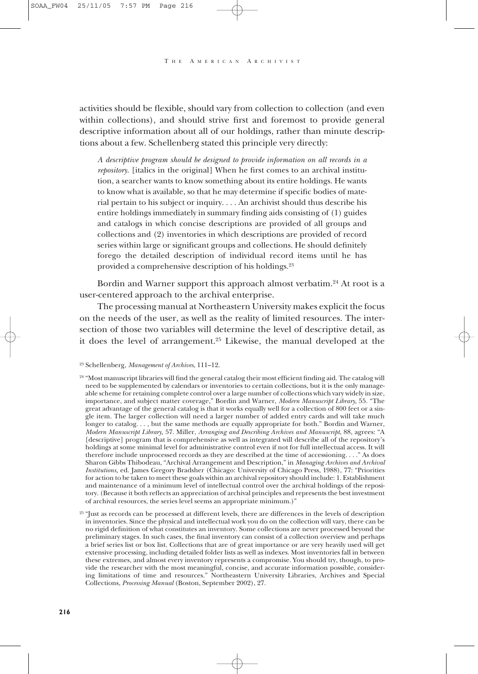activities should be flexible, should vary from collection to collection (and even within collections), and should strive first and foremost to provide general descriptive information about all of our holdings, rather than minute descriptions about a few. Schellenberg stated this principle very directly:

*A descriptive program should be designed to provide information on all records in a repository*. [italics in the original] When he first comes to an archival institution, a searcher wants to know something about its entire holdings. He wants to know what is available, so that he may determine if specific bodies of material pertain to his subject or inquiry. . . . An archivist should thus describe his entire holdings immediately in summary finding aids consisting of (1) guides and catalogs in which concise descriptions are provided of all groups and collections and (2) inventories in which descriptions are provided of record series within large or significant groups and collections. He should definitely forego the detailed description of individual record items until he has provided a comprehensive description of his holdings.23

Bordin and Warner support this approach almost verbatim.<sup>24</sup> At root is a user-centered approach to the archival enterprise.

The processing manual at Northeastern University makes explicit the focus on the needs of the user, as well as the reality of limited resources. The intersection of those two variables will determine the level of descriptive detail, as it does the level of arrangement.<sup>25</sup> Likewise, the manual developed at the

<sup>23</sup> Schellenberg, *Management of Archives*, 111–12.

<sup>24</sup> "Most manuscript libraries will find the general catalog their most efficient finding aid. The catalog will need to be supplemented by calendars or inventories to certain collections, but it is the only manageable scheme for retaining complete control over a large number of collections which vary widely in size, importance, and subject matter coverage," Bordin and Warner, *Modern Manuscript Library*, 55. "The great advantage of the general catalog is that it works equally well for a collection of 800 feet or a single item. The larger collection will need a larger number of added entry cards and will take much longer to catalog..., but the same methods are equally appropriate for both." Bordin and Warner, *Modern Manuscript Library*, 57. Miller, *Arranging and Describing Archives and Manuscript*, 88, agrees: "A [descriptive] program that is comprehensive as well as integrated will describe all of the repository's holdings at some minimal level for administrative control even if not for full intellectual access. It will therefore include unprocessed records as they are described at the time of accessioning. . . ." As does Sharon Gibbs Thibodeau, "Archival Arrangement and Description," in *Managing Archives and Archival Institutions,* ed. James Gregory Bradsher (Chicago: University of Chicago Press, 1988), 77: "Priorities for action to be taken to meet these goals within an archival repository should include: 1. Establishment and maintenance of a minimum level of intellectual control over the archival holdings of the repository. (Because it both reflects an appreciation of archival principles and represents the best investment of archival resources, the series level seems an appropriate minimum.)"

<sup>&</sup>lt;sup>25</sup> "Just as records can be processed at different levels, there are differences in the levels of description in inventories. Since the physical and intellectual work you do on the collection will vary, there can be no rigid definition of what constitutes an inventory. Some collections are never processed beyond the preliminary stages. In such cases, the final inventory can consist of a collection overview and perhaps a brief series list or box list. Collections that are of great importance or are very heavily used will get extensive processing, including detailed folder lists as well as indexes. Most inventories fall in between these extremes, and almost every inventory represents a compromise. You should try, though, to provide the researcher with the most meaningful, concise, and accurate information possible, considering limitations of time and resources." Northeastern University Libraries, Archives and Special Collections, *Processing Manual* (Boston, September 2002), 27.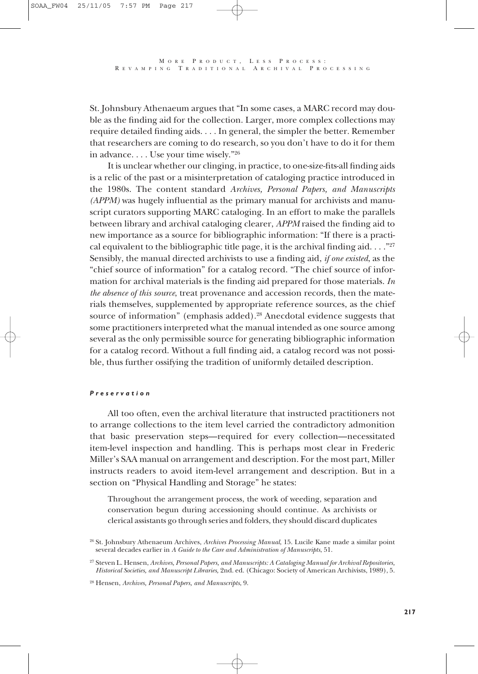St. Johnsbury Athenaeum argues that "In some cases, a MARC record may double as the finding aid for the collection. Larger, more complex collections may require detailed finding aids. . . . In general, the simpler the better. Remember that researchers are coming to do research, so you don't have to do it for them in advance. . . . Use your time wisely."26

It is unclear whether our clinging, in practice, to one-size-fits-all finding aids is a relic of the past or a misinterpretation of cataloging practice introduced in the 1980s. The content standard *Archives, Personal Papers, and Manuscripts (APPM)* was hugely influential as the primary manual for archivists and manuscript curators supporting MARC cataloging. In an effort to make the parallels between library and archival cataloging clearer, *APPM* raised the finding aid to new importance as a source for bibliographic information: "If there is a practical equivalent to the bibliographic title page, it is the archival finding aid.  $\dots$ ."<sup>27</sup> Sensibly, the manual directed archivists to use a finding aid, *if one existed*, as the "chief source of information" for a catalog record. "The chief source of information for archival materials is the finding aid prepared for those materials. *In the absence of this source*, treat provenance and accession records, then the materials themselves, supplemented by appropriate reference sources, as the chief source of information" (emphasis added).<sup>28</sup> Anecdotal evidence suggests that some practitioners interpreted what the manual intended as one source among several as the only permissible source for generating bibliographic information for a catalog record. Without a full finding aid, a catalog record was not possible, thus further ossifying the tradition of uniformly detailed description.

#### *Preservation*

All too often, even the archival literature that instructed practitioners not to arrange collections to the item level carried the contradictory admonition that basic preservation steps—required for every collection—necessitated item-level inspection and handling. This is perhaps most clear in Frederic Miller's SAA manual on arrangement and description. For the most part, Miller instructs readers to avoid item-level arrangement and description. But in a section on "Physical Handling and Storage" he states:

Throughout the arrangement process, the work of weeding, separation and conservation begun during accessioning should continue. As archivists or clerical assistants go through series and folders, they should discard duplicates

<sup>26</sup> St. Johnsbury Athenaeum Archives, *Archives Processing Manual*, 15. Lucile Kane made a similar point several decades earlier in *A Guide to the Care and Administration of Manuscripts*, 51.

<sup>27</sup> Steven L. Hensen, *Archives, Personal Papers, and Manuscripts: A Cataloging Manual for Archival Repositories, Historical Societies, and Manuscript Libraries,* 2nd. ed. (Chicago: Society of American Archivists, 1989), 5.

<sup>28</sup> Hensen, *Archives, Personal Papers, and Manuscripts*, 9.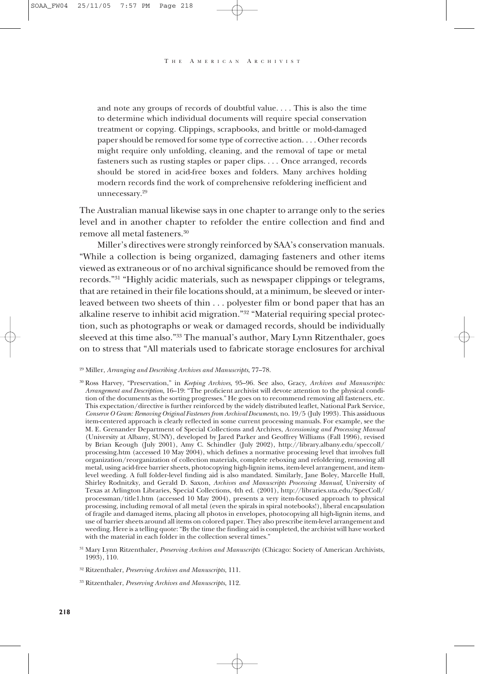and note any groups of records of doubtful value. . . . This is also the time to determine which individual documents will require special conservation treatment or copying. Clippings, scrapbooks, and brittle or mold-damaged paper should be removed for some type of corrective action. . . . Other records might require only unfolding, cleaning, and the removal of tape or metal fasteners such as rusting staples or paper clips. . . . Once arranged, records should be stored in acid-free boxes and folders. Many archives holding modern records find the work of comprehensive refoldering inefficient and unnecessary.29

The Australian manual likewise says in one chapter to arrange only to the series level and in another chapter to refolder the entire collection and find and remove all metal fasteners.30

Miller's directives were strongly reinforced by SAA's conservation manuals. "While a collection is being organized, damaging fasteners and other items viewed as extraneous or of no archival significance should be removed from the records."31 "Highly acidic materials, such as newspaper clippings or telegrams, that are retained in their file locations should, at a minimum, be sleeved or interleaved between two sheets of thin . . . polyester film or bond paper that has an alkaline reserve to inhibit acid migration."32 "Material requiring special protection, such as photographs or weak or damaged records, should be individually sleeved at this time also."33 The manual's author, Mary Lynn Ritzenthaler, goes on to stress that "All materials used to fabricate storage enclosures for archival

#### <sup>29</sup> Miller, *Arranging and Describing Archives and Manuscripts*, 77–78.

<sup>31</sup> Mary Lynn Ritzenthaler, *Preserving Archives and Manuscripts* (Chicago: Society of American Archivists, 1993), 110.

<sup>30</sup> Ross Harvey, "Preservation," in *Keeping Archives,* 95–96. See also, Gracy, *Archives and Manuscripts: Arrangement and Description*, 16–19: "The proficient archivist will devote attention to the physical condition of the documents as the sorting progresses." He goes on to recommend removing all fasteners, etc. This expectation/directive is further reinforced by the widely distributed leaflet, National Park Service, *Conserve O Gram: Removing Original Fasteners from Archival Documents*, no. 19/5 (July 1993). This assiduous item-centered approach is clearly reflected in some current processing manuals. For example, see the M. E. Grenander Department of Special Collections and Archives, *Accessioning and Processing Manual* (University at Albany, SUNY), developed by Jared Parker and Geoffrey Williams (Fall 1996), revised by Brian Keough (July 2001), Amy C. Schindler (July 2002), http://library.albany.edu/speccoll/ processing.htm (accessed 10 May 2004), which defines a normative processing level that involves full organization/reorganization of collection materials, complete reboxing and refoldering, removing all metal, using acid-free barrier sheets, photocopying high-lignin items, item-level arrangement, and itemlevel weeding. A full folder-level finding aid is also mandated. Similarly, Jane Boley, Marcelle Hull, Shirley Rodnitzky, and Gerald D. Saxon, *Archives and Manuscripts Processing Manual,* University of Texas at Arlington Libraries, Special Collections, 4th ed. (2001), http://libraries.uta.edu/SpecColl/ processman/title1.htm (accessed 10 May 2004), presents a very item-focused approach to physical processing, including removal of all metal (even the spirals in spiral notebooks!), liberal encapsulation of fragile and damaged items, placing all photos in envelopes, photocopying all high-lignin items, and use of barrier sheets around all items on colored paper. They also prescribe item-level arrangement and weeding. Here is a telling quote: "By the time the finding aid is completed, the archivist will have worked with the material in each folder in the collection several times."

<sup>32</sup> Ritzenthaler, *Preserving Archives and Manuscripts*, 111.

<sup>33</sup> Ritzenthaler, *Preserving Archives and Manuscripts*, 112.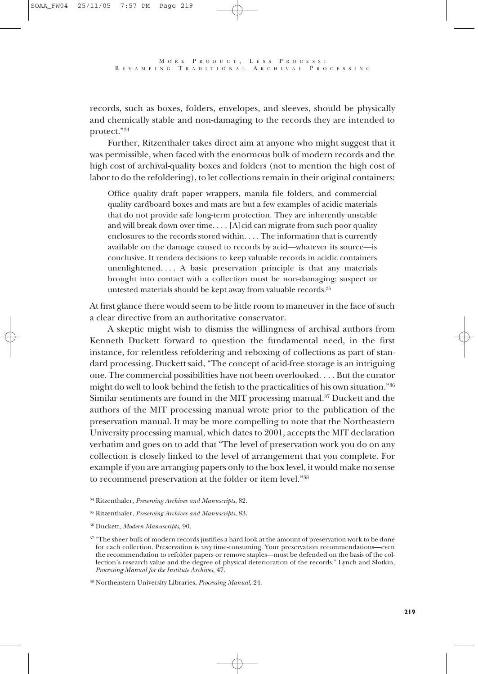records, such as boxes, folders, envelopes, and sleeves, should be physically and chemically stable and non-damaging to the records they are intended to protect."34

Further, Ritzenthaler takes direct aim at anyone who might suggest that it was permissible, when faced with the enormous bulk of modern records and the high cost of archival-quality boxes and folders (not to mention the high cost of labor to do the refoldering), to let collections remain in their original containers:

Office quality draft paper wrappers, manila file folders, and commercial quality cardboard boxes and mats are but a few examples of acidic materials that do not provide safe long-term protection. They are inherently unstable and will break down over time. . . . [A]cid can migrate from such poor quality enclosures to the records stored within. . . . The information that is currently available on the damage caused to records by acid—whatever its source—is conclusive. It renders decisions to keep valuable records in acidic containers unenlightened. . . . A basic preservation principle is that any materials brought into contact with a collection must be non-damaging; suspect or untested materials should be kept away from valuable records.35

At first glance there would seem to be little room to maneuver in the face of such a clear directive from an authoritative conservator.

A skeptic might wish to dismiss the willingness of archival authors from Kenneth Duckett forward to question the fundamental need, in the first instance, for relentless refoldering and reboxing of collections as part of standard processing. Duckett said, "The concept of acid-free storage is an intriguing one. The commercial possibilities have not been overlooked. . . . But the curator might do well to look behind the fetish to the practicalities of his own situation."36 Similar sentiments are found in the MIT processing manual.37 Duckett and the authors of the MIT processing manual wrote prior to the publication of the preservation manual. It may be more compelling to note that the Northeastern University processing manual, which dates to 2001, accepts the MIT declaration verbatim and goes on to add that "The level of preservation work you do on any collection is closely linked to the level of arrangement that you complete. For example if you are arranging papers only to the box level, it would make no sense to recommend preservation at the folder or item level."38

<sup>34</sup> Ritzenthaler, *Preserving Archives and Manuscripts*, 82.

<sup>35</sup> Ritzenthaler, *Preserving Archives and Manuscripts*, 83.

<sup>36</sup> Duckett, *Modern Manuscripts,* 90.

<sup>&</sup>lt;sup>37</sup> "The sheer bulk of modern records justifies a hard look at the amount of preservation work to be done for each collection. Preservation is *very* time-consuming. Your preservation recommendations—even the recommendation to refolder papers or remove staples—must be defended on the basis of the collection's research value and the degree of physical deterioration of the records." Lynch and Slotkin, *Processing Manual for the Institute Archives*, 47.

<sup>38</sup> Northeastern University Libraries, *Processing Manual*, 24.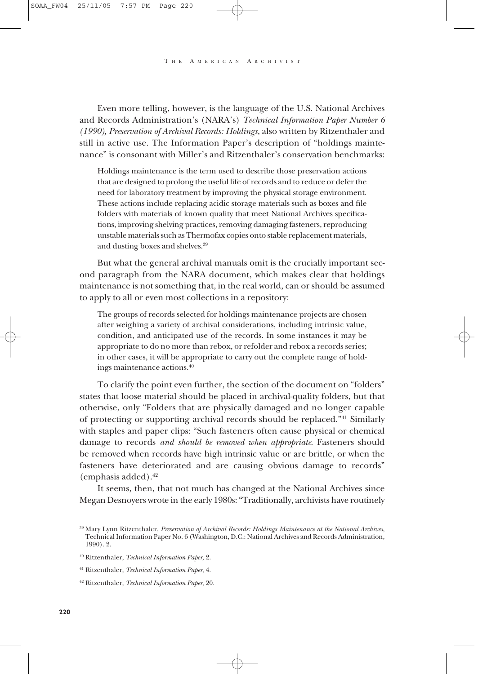Even more telling, however, is the language of the U.S. National Archives and Records Administration's (NARA's) *Technical Information Paper Number 6 (1990), Preservation of Archival Records: Holdings*, also written by Ritzenthaler and still in active use. The Information Paper's description of "holdings maintenance" is consonant with Miller's and Ritzenthaler's conservation benchmarks:

Holdings maintenance is the term used to describe those preservation actions that are designed to prolong the useful life of records and to reduce or defer the need for laboratory treatment by improving the physical storage environment. These actions include replacing acidic storage materials such as boxes and file folders with materials of known quality that meet National Archives specifications, improving shelving practices, removing damaging fasteners, reproducing unstable materials such as Thermofax copies onto stable replacement materials, and dusting boxes and shelves.39

But what the general archival manuals omit is the crucially important second paragraph from the NARA document, which makes clear that holdings maintenance is not something that, in the real world, can or should be assumed to apply to all or even most collections in a repository:

The groups of records selected for holdings maintenance projects are chosen after weighing a variety of archival considerations, including intrinsic value, condition, and anticipated use of the records. In some instances it may be appropriate to do no more than rebox, or refolder and rebox a records series; in other cases, it will be appropriate to carry out the complete range of holdings maintenance actions.40

To clarify the point even further, the section of the document on "folders" states that loose material should be placed in archival-quality folders, but that otherwise, only "Folders that are physically damaged and no longer capable of protecting or supporting archival records should be replaced."41 Similarly with staples and paper clips: "Such fasteners often cause physical or chemical damage to records *and should be removed when appropriate*. Fasteners should be removed when records have high intrinsic value or are brittle, or when the fasteners have deteriorated and are causing obvious damage to records"  $(emphasis added).<sup>42</sup>$ 

It seems, then, that not much has changed at the National Archives since Megan Desnoyers wrote in the early 1980s: "Traditionally, archivists have routinely

<sup>39</sup> Mary Lynn Ritzenthaler, *Preservation of Archival Records: Holdings Maintenance at the National Archives*, Technical Information Paper No. 6 (Washington, D.C.: National Archives and Records Administration, 1990). 2.

<sup>40</sup> Ritzenthaler, *Technical Information Paper*, 2.

<sup>41</sup> Ritzenthaler, *Technical Information Paper*, 4.

<sup>42</sup> Ritzenthaler, *Technical Information Paper*, 20.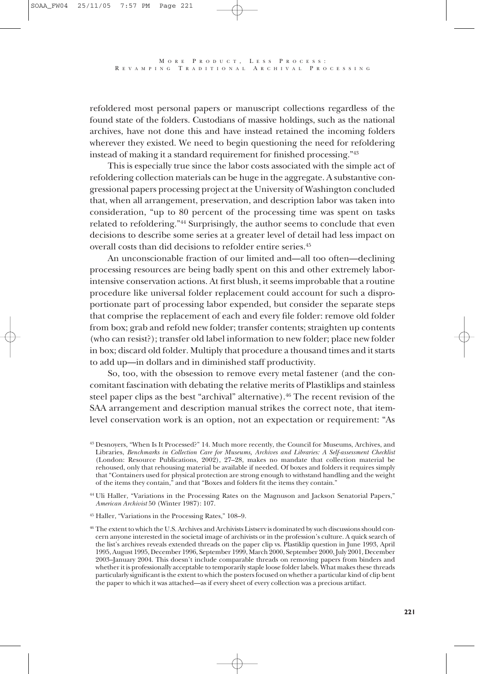refoldered most personal papers or manuscript collections regardless of the found state of the folders. Custodians of massive holdings, such as the national archives, have not done this and have instead retained the incoming folders wherever they existed. We need to begin questioning the need for refoldering instead of making it a standard requirement for finished processing."43

This is especially true since the labor costs associated with the simple act of refoldering collection materials can be huge in the aggregate. A substantive congressional papers processing project at the University of Washington concluded that, when all arrangement, preservation, and description labor was taken into consideration, "up to 80 percent of the processing time was spent on tasks related to refoldering."44 Surprisingly, the author seems to conclude that even decisions to describe some series at a greater level of detail had less impact on overall costs than did decisions to refolder entire series.45

An unconscionable fraction of our limited and—all too often—declining processing resources are being badly spent on this and other extremely laborintensive conservation actions. At first blush, it seems improbable that a routine procedure like universal folder replacement could account for such a disproportionate part of processing labor expended, but consider the separate steps that comprise the replacement of each and every file folder: remove old folder from box; grab and refold new folder; transfer contents; straighten up contents (who can resist?); transfer old label information to new folder; place new folder in box; discard old folder. Multiply that procedure a thousand times and it starts to add up—in dollars and in diminished staff productivity.

So, too, with the obsession to remove every metal fastener (and the concomitant fascination with debating the relative merits of Plastiklips and stainless steel paper clips as the best "archival" alternative).46 The recent revision of the SAA arrangement and description manual strikes the correct note, that itemlevel conservation work is an option, not an expectation or requirement: "As

<sup>43</sup> Desnoyers, "When Is It Processed?" 14. Much more recently, the Council for Museums, Archives, and Libraries, *Benchmarks in Collection Care for Museums, Archives and Libraries: A Self-assessment Checklist* (London: Resource Publications, 2002), 27–28, makes no mandate that collection material be rehoused, only that rehousing material be available if needed. Of boxes and folders it requires simply that "Containers used for physical protection are strong enough to withstand handling and the weight of the items they contain," and that "Boxes and folders fit the items they contain."

<sup>44</sup> Uli Haller, "Variations in the Processing Rates on the Magnuson and Jackson Senatorial Papers," *American Archivist* 50 (Winter 1987): 107.

<sup>45</sup> Haller, "Variations in the Processing Rates," 108–9.

<sup>46</sup> The extent to which the U.S. Archives and Archivists Listserv is dominated by such discussions should concern anyone interested in the societal image of archivists or in the profession's culture. A quick search of the list's archives reveals extended threads on the paper clip vs. Plastiklip question in June 1993, April 1995, August 1995, December 1996, September 1999, March 2000, September 2000, July 2001, December 2003–January 2004. This doesn't include comparable threads on removing papers from binders and whether it is professionally acceptable to temporarily staple loose folder labels. What makes these threads particularly significant is the extent to which the posters focused on whether a particular kind of clip bent the paper to which it was attached—as if every sheet of every collection was a precious artifact.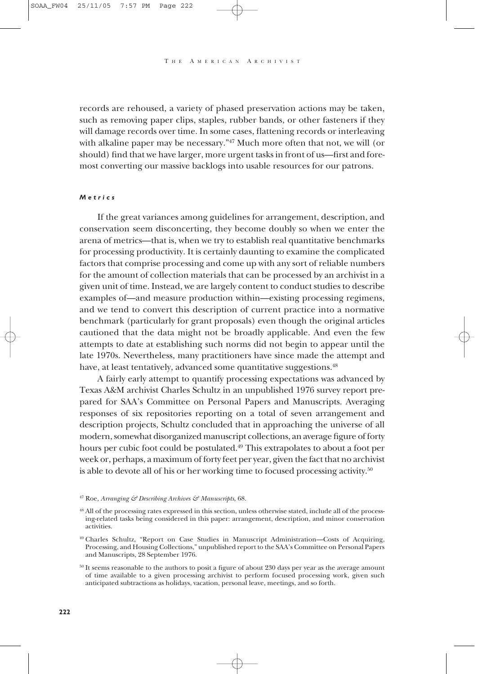records are rehoused, a variety of phased preservation actions may be taken, such as removing paper clips, staples, rubber bands, or other fasteners if they will damage records over time. In some cases, flattening records or interleaving with alkaline paper may be necessary."47 Much more often that not, we will (or should) find that we have larger, more urgent tasks in front of us—first and foremost converting our massive backlogs into usable resources for our patrons.

#### *Metrics*

If the great variances among guidelines for arrangement, description, and conservation seem disconcerting, they become doubly so when we enter the arena of metrics—that is, when we try to establish real quantitative benchmarks for processing productivity. It is certainly daunting to examine the complicated factors that comprise processing and come up with any sort of reliable numbers for the amount of collection materials that can be processed by an archivist in a given unit of time. Instead, we are largely content to conduct studies to describe examples of—and measure production within—existing processing regimens, and we tend to convert this description of current practice into a normative benchmark (particularly for grant proposals) even though the original articles cautioned that the data might not be broadly applicable. And even the few attempts to date at establishing such norms did not begin to appear until the late 1970s. Nevertheless, many practitioners have since made the attempt and have, at least tentatively, advanced some quantitative suggestions.<sup>48</sup>

A fairly early attempt to quantify processing expectations was advanced by Texas A&M archivist Charles Schultz in an unpublished 1976 survey report prepared for SAA's Committee on Personal Papers and Manuscripts. Averaging responses of six repositories reporting on a total of seven arrangement and description projects, Schultz concluded that in approaching the universe of all modern, somewhat disorganized manuscript collections, an average figure of forty hours per cubic foot could be postulated.<sup>49</sup> This extrapolates to about a foot per week or, perhaps, a maximum of forty feet per year, given the fact that no archivist is able to devote all of his or her working time to focused processing activity.50

- <sup>47</sup> Roe, *Arranging & Describing Archives & Manuscripts*, 68.
- <sup>48</sup> All of the processing rates expressed in this section, unless otherwise stated, include all of the processing-related tasks being considered in this paper: arrangement, description, and minor conservation activities.
- <sup>49</sup> Charles Schultz, "Report on Case Studies in Manuscript Administration—Costs of Acquiring, Processing, and Housing Collections," unpublished report to the SAA's Committee on Personal Papers and Manuscripts, 28 September 1976.
- <sup>50</sup> It seems reasonable to the authors to posit a figure of about 230 days per year as the average amount of time available to a given processing archivist to perform focused processing work, given such anticipated subtractions as holidays, vacation, personal leave, meetings, and so forth.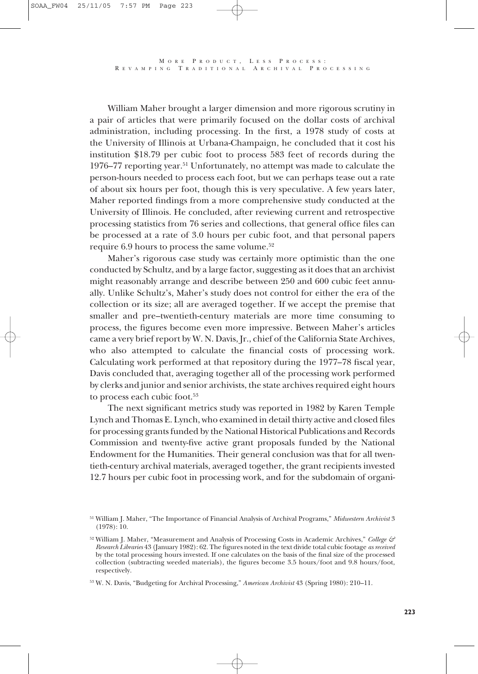William Maher brought a larger dimension and more rigorous scrutiny in a pair of articles that were primarily focused on the dollar costs of archival administration, including processing. In the first, a 1978 study of costs at the University of Illinois at Urbana-Champaign, he concluded that it cost his institution \$18.79 per cubic foot to process 583 feet of records during the 1976–77 reporting year.51 Unfortunately, no attempt was made to calculate the person-hours needed to process each foot, but we can perhaps tease out a rate of about six hours per foot, though this is very speculative. A few years later, Maher reported findings from a more comprehensive study conducted at the University of Illinois. He concluded, after reviewing current and retrospective processing statistics from 76 series and collections, that general office files can be processed at a rate of 3.0 hours per cubic foot, and that personal papers require 6.9 hours to process the same volume.52

Maher's rigorous case study was certainly more optimistic than the one conducted by Schultz, and by a large factor, suggesting as it does that an archivist might reasonably arrange and describe between 250 and 600 cubic feet annually. Unlike Schultz's, Maher's study does not control for either the era of the collection or its size; all are averaged together. If we accept the premise that smaller and pre–twentieth-century materials are more time consuming to process, the figures become even more impressive. Between Maher's articles came a very brief report by W. N. Davis, Jr., chief of the California State Archives, who also attempted to calculate the financial costs of processing work. Calculating work performed at that repository during the 1977–78 fiscal year, Davis concluded that, averaging together all of the processing work performed by clerks and junior and senior archivists, the state archives required eight hours to process each cubic foot.<sup>53</sup>

The next significant metrics study was reported in 1982 by Karen Temple Lynch and Thomas E. Lynch, who examined in detail thirty active and closed files for processing grants funded by the National Historical Publications and Records Commission and twenty-five active grant proposals funded by the National Endowment for the Humanities. Their general conclusion was that for all twentieth-century archival materials, averaged together, the grant recipients invested 12.7 hours per cubic foot in processing work, and for the subdomain of organi-

<sup>51</sup> William J. Maher, "The Importance of Financial Analysis of Archival Programs," *Midwestern Archivist* 3 (1978): 10.

<sup>52</sup> William J. Maher, "Measurement and Analysis of Processing Costs in Academic Archives," *College & Research Libraries* 43 (January 1982): 62. The figures noted in the text divide total cubic footage *as received* by the total processing hours invested. If one calculates on the basis of the final size of the processed collection (subtracting weeded materials), the figures become 3.5 hours/foot and 9.8 hours/foot, respectively.

<sup>53</sup> W. N. Davis, "Budgeting for Archival Processing," *American Archivist* 43 (Spring 1980): 210–11.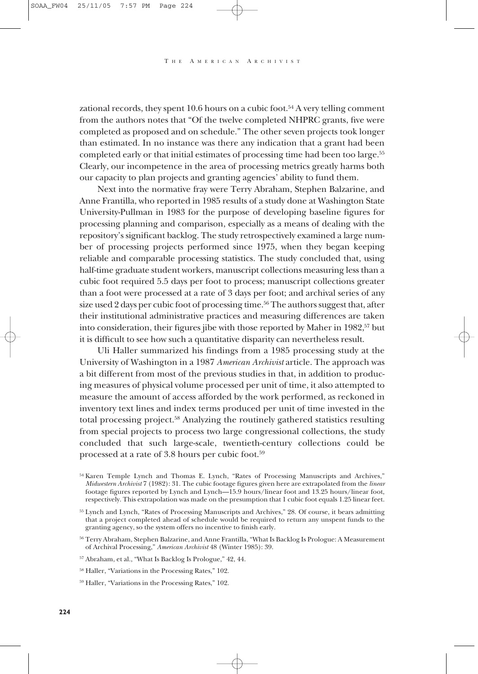zational records, they spent 10.6 hours on a cubic foot.<sup>54</sup> A very telling comment from the authors notes that "Of the twelve completed NHPRC grants, five were completed as proposed and on schedule." The other seven projects took longer than estimated. In no instance was there any indication that a grant had been completed early or that initial estimates of processing time had been too large.<sup>55</sup> Clearly, our incompetence in the area of processing metrics greatly harms both our capacity to plan projects and granting agencies' ability to fund them.

Next into the normative fray were Terry Abraham, Stephen Balzarine, and Anne Frantilla, who reported in 1985 results of a study done at Washington State University-Pullman in 1983 for the purpose of developing baseline figures for processing planning and comparison, especially as a means of dealing with the repository's significant backlog. The study retrospectively examined a large number of processing projects performed since 1975, when they began keeping reliable and comparable processing statistics. The study concluded that, using half-time graduate student workers, manuscript collections measuring less than a cubic foot required 5.5 days per foot to process; manuscript collections greater than a foot were processed at a rate of 3 days per foot; and archival series of any size used 2 days per cubic foot of processing time.<sup>56</sup> The authors suggest that, after their institutional administrative practices and measuring differences are taken into consideration, their figures jibe with those reported by Maher in 1982,57 but it is difficult to see how such a quantitative disparity can nevertheless result.

Uli Haller summarized his findings from a 1985 processing study at the University of Washington in a 1987 *American Archivist* article. The approach was a bit different from most of the previous studies in that, in addition to producing measures of physical volume processed per unit of time, it also attempted to measure the amount of access afforded by the work performed, as reckoned in inventory text lines and index terms produced per unit of time invested in the total processing project.58 Analyzing the routinely gathered statistics resulting from special projects to process two large congressional collections, the study concluded that such large-scale, twentieth-century collections could be processed at a rate of 3.8 hours per cubic foot.59

<sup>59</sup> Haller, "Variations in the Processing Rates," 102.

<sup>54</sup> Karen Temple Lynch and Thomas E. Lynch, "Rates of Processing Manuscripts and Archives," *Midwestern Archivist* 7 (1982): 31. The cubic footage figures given here are extrapolated from the *linear* footage figures reported by Lynch and Lynch—15.9 hours/linear foot and 13.25 hours/linear foot, respectively. This extrapolation was made on the presumption that 1 cubic foot equals 1.25 linear feet.

<sup>55</sup> Lynch and Lynch, "Rates of Processing Manuscripts and Archives," 28. Of course, it bears admitting that a project completed ahead of schedule would be required to return any unspent funds to the granting agency, so the system offers no incentive to finish early.

<sup>56</sup> Terry Abraham, Stephen Balzarine, and Anne Frantilla, "What Is Backlog Is Prologue: A Measurement of Archival Processing," *American Archivist* 48 (Winter 1985): 39.

<sup>57</sup> Abraham, et al., "What Is Backlog Is Prologue," 42, 44.

<sup>58</sup> Haller, "Variations in the Processing Rates," 102.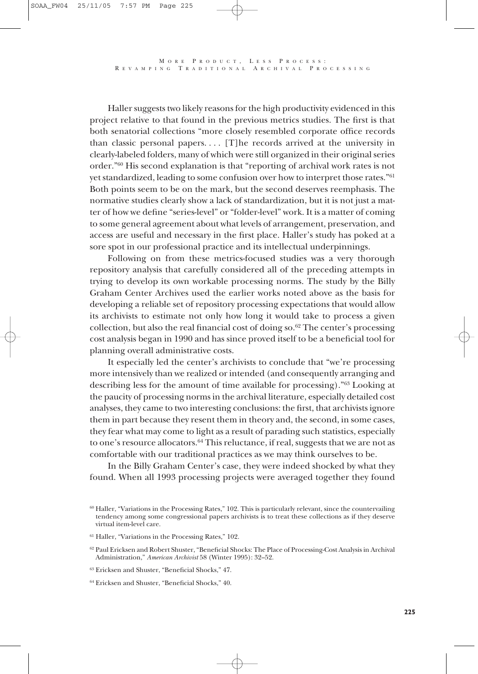Haller suggests two likely reasons for the high productivity evidenced in this project relative to that found in the previous metrics studies. The first is that both senatorial collections "more closely resembled corporate office records than classic personal papers. . . . [T]he records arrived at the university in clearly-labeled folders, many of which were still organized in their original series order."60 His second explanation is that "reporting of archival work rates is not yet standardized, leading to some confusion over how to interpret those rates."61 Both points seem to be on the mark, but the second deserves reemphasis. The normative studies clearly show a lack of standardization, but it is not just a matter of how we define "series-level" or "folder-level" work. It is a matter of coming to some general agreement about what levels of arrangement, preservation, and access are useful and necessary in the first place. Haller's study has poked at a sore spot in our professional practice and its intellectual underpinnings.

Following on from these metrics-focused studies was a very thorough repository analysis that carefully considered all of the preceding attempts in trying to develop its own workable processing norms. The study by the Billy Graham Center Archives used the earlier works noted above as the basis for developing a reliable set of repository processing expectations that would allow its archivists to estimate not only how long it would take to process a given collection, but also the real financial cost of doing so.62 The center's processing cost analysis began in 1990 and has since proved itself to be a beneficial tool for planning overall administrative costs.

It especially led the center's archivists to conclude that "we're processing more intensively than we realized or intended (and consequently arranging and describing less for the amount of time available for processing)."63 Looking at the paucity of processing norms in the archival literature, especially detailed cost analyses, they came to two interesting conclusions: the first, that archivists ignore them in part because they resent them in theory and, the second, in some cases, they fear what may come to light as a result of parading such statistics, especially to one's resource allocators.<sup>64</sup> This reluctance, if real, suggests that we are not as comfortable with our traditional practices as we may think ourselves to be.

In the Billy Graham Center's case, they were indeed shocked by what they found. When all 1993 processing projects were averaged together they found

<sup>60</sup> Haller, "Variations in the Processing Rates," 102. This is particularly relevant, since the countervailing tendency among some congressional papers archivists is to treat these collections as if they deserve virtual item-level care.

<sup>61</sup> Haller, "Variations in the Processing Rates," 102.

<sup>62</sup> Paul Ericksen and Robert Shuster, "Beneficial Shocks: The Place of Processing-Cost Analysis in Archival Administration," *American Archivist* 58 (Winter 1995): 32–52.

<sup>63</sup> Ericksen and Shuster, "Beneficial Shocks," 47.

<sup>64</sup> Ericksen and Shuster, "Beneficial Shocks," 40.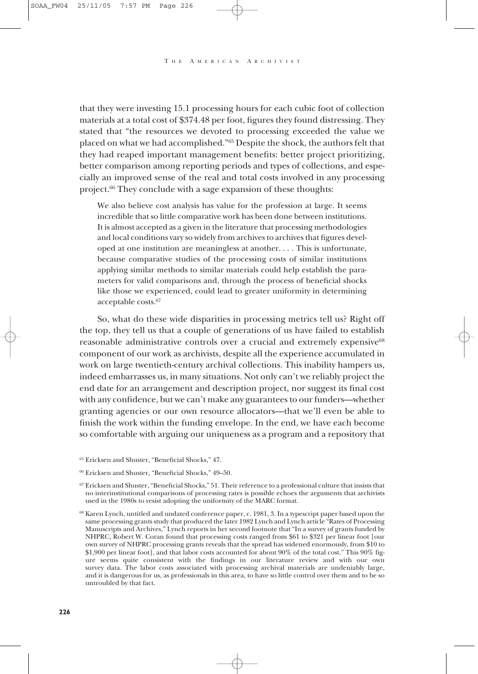that they were investing 15.1 processing hours for each cubic foot of collection materials at a total cost of \$374.48 per foot, figures they found distressing. They stated that "the resources we devoted to processing exceeded the value we placed on what we had accomplished."65 Despite the shock, the authors felt that they had reaped important management benefits: better project prioritizing, better comparison among reporting periods and types of collections, and especially an improved sense of the real and total costs involved in any processing project.<sup>66</sup> They conclude with a sage expansion of these thoughts:

We also believe cost analysis has value for the profession at large. It seems incredible that so little comparative work has been done between institutions. It is almost accepted as a given in the literature that processing methodologies and local conditions vary so widely from archives to archives that figures developed at one institution are meaningless at another. . . . This is unfortunate, because comparative studies of the processing costs of similar institutions applying similar methods to similar materials could help establish the parameters for valid comparisons and, through the process of beneficial shocks like those we experienced, could lead to greater uniformity in determining acceptable costs.67

So, what do these wide disparities in processing metrics tell us? Right off the top, they tell us that a couple of generations of us have failed to establish reasonable administrative controls over a crucial and extremely expensive<sup>68</sup> component of our work as archivists, despite all the experience accumulated in work on large twentieth-century archival collections. This inability hampers us, indeed embarrasses us, in many situations. Not only can't we reliably project the end date for an arrangement and description project, nor suggest its final cost with any confidence, but we can't make any guarantees to our funders—whether granting agencies or our own resource allocators—that we'll even be able to finish the work within the funding envelope. In the end, we have each become so comfortable with arguing our uniqueness as a program and a repository that

<sup>65</sup> Ericksen and Shuster, "Beneficial Shocks," 47.

<sup>66</sup> Ericksen and Shuster, "Beneficial Shocks," 49–50.

<sup>67</sup> Ericksen and Shuster, "Beneficial Shocks," 51. Their reference to a professional culture that insists that no interinstitutional comparisons of processing rates is possible echoes the arguments that archivists used in the 1980s to resist adopting the uniformity of the MARC format.

<sup>68</sup> Karen Lynch, untitled and undated conference paper, c. 1981, 3. In a typescript paper based upon the same processing grants study that produced the later 1982 Lynch and Lynch article "Rates of Processing Manuscripts and Archives," Lynch reports in her second footnote that "In a survey of grants funded by NHPRC, Robert W. Coran found that processing costs ranged from \$61 to \$321 per linear foot [our own survey of NHPRC processing grants reveals that the spread has widened enormously, from \$10 to \$1,900 per linear foot], and that labor costs accounted for about 90% of the total cost." This 90% figure seems quite consistent with the findings in our literature review and with our own survey data. The labor costs associated with processing archival materials are undeniably large, and it is dangerous for us, as professionals in this area, to have so little control over them and to be so untroubled by that fact.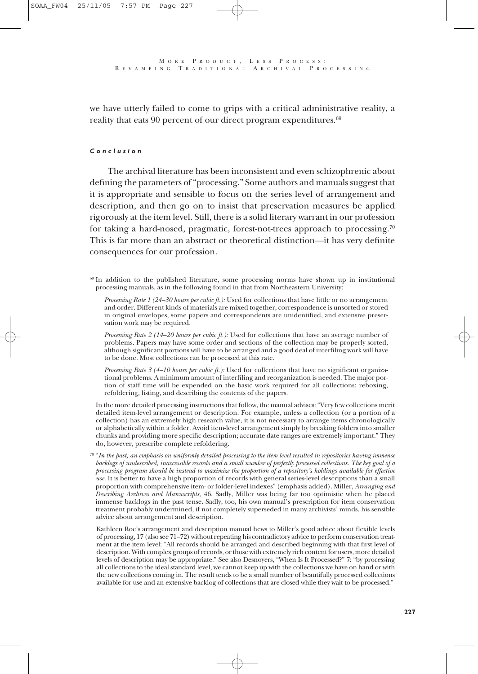we have utterly failed to come to grips with a critical administrative reality, a reality that eats 90 percent of our direct program expenditures.<sup>69</sup>

#### *Conclusion*

The archival literature has been inconsistent and even schizophrenic about defining the parameters of "processing." Some authors and manuals suggest that it is appropriate and sensible to focus on the series level of arrangement and description, and then go on to insist that preservation measures be applied rigorously at the item level. Still, there is a solid literary warrant in our profession for taking a hard-nosed, pragmatic, forest-not-trees approach to processing.70 This is far more than an abstract or theoretical distinction—it has very definite consequences for our profession.

<sup>69</sup> In addition to the published literature, some processing norms have shown up in institutional processing manuals, as in the following found in that from Northeastern University:

*Processing Rate 1 (24–30 hours per cubic ft.):* Used for collections that have little or no arrangement and order. Different kinds of materials are mixed together, correspondence is unsorted or stored in original envelopes, some papers and correspondents are unidentified, and extensive preservation work may be required.

*Processing Rate 2 (14–20 hours per cubic ft.):* Used for collections that have an average number of problems. Papers may have some order and sections of the collection may be properly sorted, although significant portions will have to be arranged and a good deal of interfiling work will have to be done. Most collections can be processed at this rate.

*Processing Rate 3 (4–10 hours per cubic ft.):* Used for collections that have no significant organizational problems. A minimum amount of interfiling and reorganization is needed. The major portion of staff time will be expended on the basic work required for all collections: reboxing, refoldering, listing, and describing the contents of the papers.

In the more detailed processing instructions that follow, the manual advises: "Very few collections merit detailed item-level arrangement or description. For example, unless a collection (or a portion of a collection) has an extremely high research value, it is not necessary to arrange items chronologically or alphabetically within a folder. Avoid item-level arrangement simply by breaking folders into smaller chunks and providing more specific description; accurate date ranges are extremely important." They do, however, prescribe complete refoldering.

<sup>70</sup> "*In the past, an emphasis on uniformly detailed processing to the item level resulted in repositories having immense backlogs of undescribed, inaccessible records and a small number of perfectly processed collections. The key goal of a processing program should be instead to maximize the proportion of a repository's holdings available for effective use.* It is better to have a high proportion of records with general series-level descriptions than a small proportion with comprehensive item- or folder-level indexes" (emphasis added). Miller, *Arranging and Describing Archives and Manuscripts*, 46. Sadly, Miller was being far too optimistic when he placed immense backlogs in the past tense. Sadly, too, his own manual's prescription for item conservation treatment probably undermined, if not completely superseded in many archivists' minds, his sensible advice about arrangement and description.

Kathleen Roe's arrangement and description manual hews to Miller's good advice about flexible levels of processing, 17 (also see 71–72) without repeating his contradictory advice to perform conservation treatment at the item level: "All records should be arranged and described beginning with that first level of description. With complex groups of records, or those with extremely rich content for users, more detailed levels of description may be appropriate." See also Desnoyers, "When Is It Processed?" 7: "by processing all collections to the ideal standard level, we cannot keep up with the collections we have on hand or with the new collections coming in. The result tends to be a small number of beautifully processed collections available for use and an extensive backlog of collections that are closed while they wait to be processed."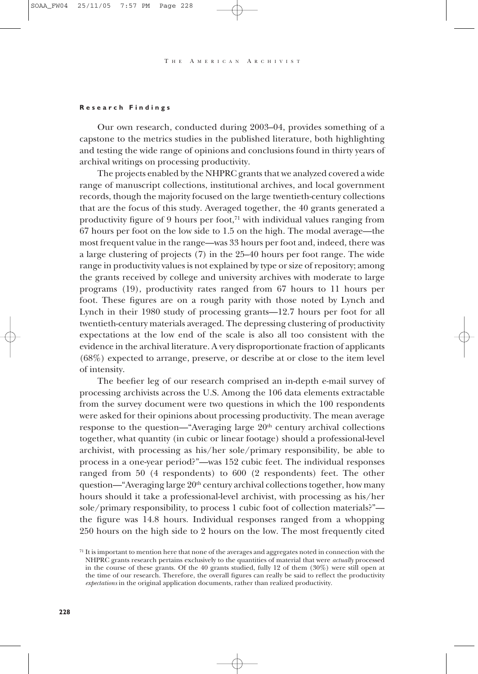#### **Research Findings**

Our own research, conducted during 2003–04, provides something of a capstone to the metrics studies in the published literature, both highlighting and testing the wide range of opinions and conclusions found in thirty years of archival writings on processing productivity.

The projects enabled by the NHPRC grants that we analyzed covered a wide range of manuscript collections, institutional archives, and local government records, though the majority focused on the large twentieth-century collections that are the focus of this study. Averaged together, the 40 grants generated a productivity figure of 9 hours per foot, $71$  with individual values ranging from 67 hours per foot on the low side to 1.5 on the high. The modal average—the most frequent value in the range—was 33 hours per foot and, indeed, there was a large clustering of projects (7) in the 25–40 hours per foot range. The wide range in productivity values is not explained by type or size of repository; among the grants received by college and university archives with moderate to large programs (19), productivity rates ranged from 67 hours to 11 hours per foot. These figures are on a rough parity with those noted by Lynch and Lynch in their 1980 study of processing grants—12.7 hours per foot for all twentieth-century materials averaged. The depressing clustering of productivity expectations at the low end of the scale is also all too consistent with the evidence in the archival literature. A very disproportionate fraction of applicants (68%) expected to arrange, preserve, or describe at or close to the item level of intensity.

The beefier leg of our research comprised an in-depth e-mail survey of processing archivists across the U.S. Among the 106 data elements extractable from the survey document were two questions in which the 100 respondents were asked for their opinions about processing productivity. The mean average response to the question—"Averaging large  $20<sup>th</sup>$  century archival collections together, what quantity (in cubic or linear footage) should a professional-level archivist, with processing as his/her sole/primary responsibility, be able to process in a one-year period?"—was 152 cubic feet. The individual responses ranged from 50 (4 respondents) to 600 (2 respondents) feet. The other question—"Averaging large  $20<sup>th</sup>$  century archival collections together, how many hours should it take a professional-level archivist, with processing as his/her sole/primary responsibility, to process 1 cubic foot of collection materials?" the figure was 14.8 hours. Individual responses ranged from a whopping 250 hours on the high side to 2 hours on the low. The most frequently cited

 $71$  It is important to mention here that none of the averages and aggregates noted in connection with the NHPRC grants research pertains exclusively to the quantities of material that were *actually* processed in the course of these grants. Of the 40 grants studied, fully 12 of them (30%) were still open at the time of our research. Therefore, the overall figures can really be said to reflect the productivity *expectations* in the original application documents, rather than realized productivity.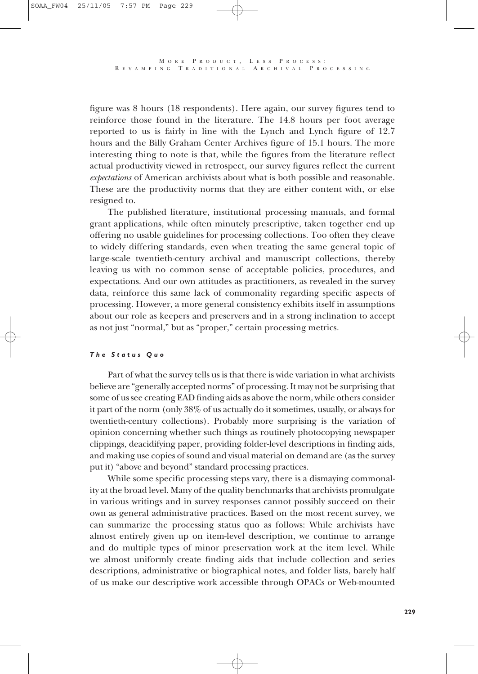figure was 8 hours (18 respondents). Here again, our survey figures tend to reinforce those found in the literature. The 14.8 hours per foot average reported to us is fairly in line with the Lynch and Lynch figure of 12.7 hours and the Billy Graham Center Archives figure of 15.1 hours. The more interesting thing to note is that, while the figures from the literature reflect actual productivity viewed in retrospect, our survey figures reflect the current *expectations* of American archivists about what is both possible and reasonable. These are the productivity norms that they are either content with, or else resigned to.

The published literature, institutional processing manuals, and formal grant applications, while often minutely prescriptive, taken together end up offering no usable guidelines for processing collections. Too often they cleave to widely differing standards, even when treating the same general topic of large-scale twentieth-century archival and manuscript collections, thereby leaving us with no common sense of acceptable policies, procedures, and expectations. And our own attitudes as practitioners, as revealed in the survey data, reinforce this same lack of commonality regarding specific aspects of processing. However, a more general consistency exhibits itself in assumptions about our role as keepers and preservers and in a strong inclination to accept as not just "normal," but as "proper," certain processing metrics.

#### *The Status Quo*

Part of what the survey tells us is that there is wide variation in what archivists believe are "generally accepted norms" of processing. It may not be surprising that some of us see creating EAD finding aids as above the norm, while others consider it part of the norm (only 38% of us actually do it sometimes, usually, or always for twentieth-century collections). Probably more surprising is the variation of opinion concerning whether such things as routinely photocopying newspaper clippings, deacidifying paper, providing folder-level descriptions in finding aids, and making use copies of sound and visual material on demand are (as the survey put it) "above and beyond" standard processing practices.

While some specific processing steps vary, there is a dismaying commonality at the broad level. Many of the quality benchmarks that archivists promulgate in various writings and in survey responses cannot possibly succeed on their own as general administrative practices. Based on the most recent survey, we can summarize the processing status quo as follows: While archivists have almost entirely given up on item-level description, we continue to arrange and do multiple types of minor preservation work at the item level. While we almost uniformly create finding aids that include collection and series descriptions, administrative or biographical notes, and folder lists, barely half of us make our descriptive work accessible through OPACs or Web-mounted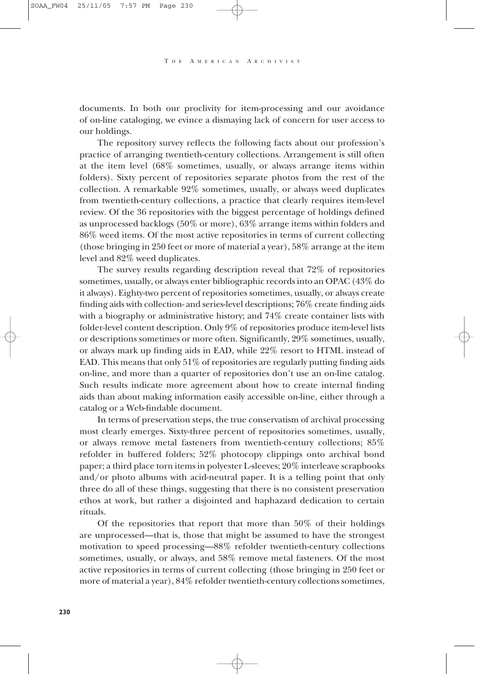documents. In both our proclivity for item-processing and our avoidance of on-line cataloging, we evince a dismaying lack of concern for user access to our holdings.

The repository survey reflects the following facts about our profession's practice of arranging twentieth-century collections. Arrangement is still often at the item level (68% sometimes, usually, or always arrange items within folders). Sixty percent of repositories separate photos from the rest of the collection. A remarkable 92% sometimes, usually, or always weed duplicates from twentieth-century collections, a practice that clearly requires item-level review. Of the 36 repositories with the biggest percentage of holdings defined as unprocessed backlogs (50% or more), 63% arrange items within folders and 86% weed items. Of the most active repositories in terms of current collecting (those bringing in 250 feet or more of material a year), 58% arrange at the item level and 82% weed duplicates.

The survey results regarding description reveal that 72% of repositories sometimes, usually, or always enter bibliographic records into an OPAC (43% do it always). Eighty-two percent of repositories sometimes, usually, or always create finding aids with collection- and series-level descriptions; 76% create finding aids with a biography or administrative history; and 74% create container lists with folder-level content description. Only 9% of repositories produce item-level lists or descriptions sometimes or more often. Significantly, 29% sometimes, usually, or always mark up finding aids in EAD, while 22% resort to HTML instead of EAD. This means that only 51% of repositories are regularly putting finding aids on-line, and more than a quarter of repositories don't use an on-line catalog. Such results indicate more agreement about how to create internal finding aids than about making information easily accessible on-line, either through a catalog or a Web-findable document.

In terms of preservation steps, the true conservatism of archival processing most clearly emerges. Sixty-three percent of repositories sometimes, usually, or always remove metal fasteners from twentieth-century collections; 85% refolder in buffered folders; 52% photocopy clippings onto archival bond paper; a third place torn items in polyester L-sleeves; 20% interleave scrapbooks and/or photo albums with acid-neutral paper. It is a telling point that only three do all of these things, suggesting that there is no consistent preservation ethos at work, but rather a disjointed and haphazard dedication to certain rituals.

Of the repositories that report that more than 50% of their holdings are unprocessed—that is, those that might be assumed to have the strongest motivation to speed processing—88% refolder twentieth-century collections sometimes, usually, or always, and 58% remove metal fasteners. Of the most active repositories in terms of current collecting (those bringing in 250 feet or more of material a year), 84% refolder twentieth-century collections sometimes,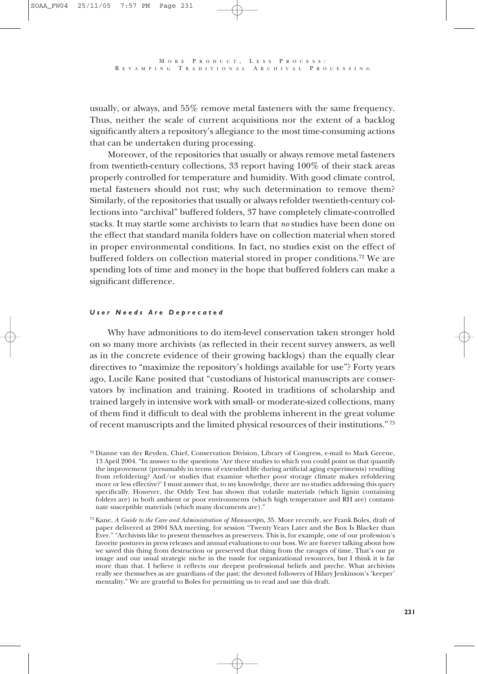usually, or always, and 55% remove metal fasteners with the same frequency. Thus, neither the scale of current acquisitions nor the extent of a backlog significantly alters a repository's allegiance to the most time-consuming actions that can be undertaken during processing.

Moreover, of the repositories that usually or always remove metal fasteners from twentieth-century collections, 33 report having 100% of their stack areas properly controlled for temperature and humidity. With good climate control, metal fasteners should not rust; why such determination to remove them? Similarly, of the repositories that usually or always refolder twentieth-century collections into "archival" buffered folders, 37 have completely climate-controlled stacks. It may startle some archivists to learn that *no* studies have been done on the effect that standard manila folders have on collection material when stored in proper environmental conditions. In fact, no studies exist on the effect of buffered folders on collection material stored in proper conditions.<sup>72</sup> We are spending lots of time and money in the hope that buffered folders can make a significant difference.

#### *User Needs Are Deprecated*

Why have admonitions to do item-level conservation taken stronger hold on so many more archivists (as reflected in their recent survey answers, as well as in the concrete evidence of their growing backlogs) than the equally clear directives to "maximize the repository's holdings available for use"? Forty years ago, Lucile Kane posited that "custodians of historical manuscripts are conservators by inclination and training. Rooted in traditions of scholarship and trained largely in intensive work with small- or moderate-sized collections, many of them find it difficult to deal with the problems inherent in the great volume of recent manuscripts and the limited physical resources of their institutions." <sup>73</sup>

<sup>72</sup> Dianne van der Reyden, Chief, Conservation Division, Library of Congress, e-mail to Mark Greene, 13 April 2004. "In answer to the questions 'Are there studies to which you could point us that quantify the improvement (presumably in terms of extended life during artificial aging experiments) resulting from refoldering? And/or studies that examine whether poor storage climate makes refoldering more or less effective?' I must answer that, to my knowledge, there are no studies addressing this query specifically. However, the Oddy Test has shown that volatile materials (which lignin containing folders are) in both ambient or poor environments (which high temperature and RH are) contaminate susceptible materials (which many documents are)."

<sup>73</sup> Kane, *A Guide to the Care and Administration of Manuscripts*, 35. More recently, see Frank Boles, draft of paper delivered at 2004 SAA meeting, for session "Twenty Years Later and the Box Is Blacker than Ever." "Archivists like to present themselves as preservers. This is, for example, one of our profession's favorite postures in press releases and annual evaluations to our boss. We are forever talking about how we saved this thing from destruction or preserved that thing from the ravages of time. That's our pr image and our usual strategic niche in the tussle for organizational resources, but I think it is far more than that. I believe it reflects our deepest professional beliefs and psyche. What archivists really see themselves as are guardians of the past: the devoted followers of Hilary Jenkinson's 'keeper' mentality." We are grateful to Boles for permitting us to read and use this draft.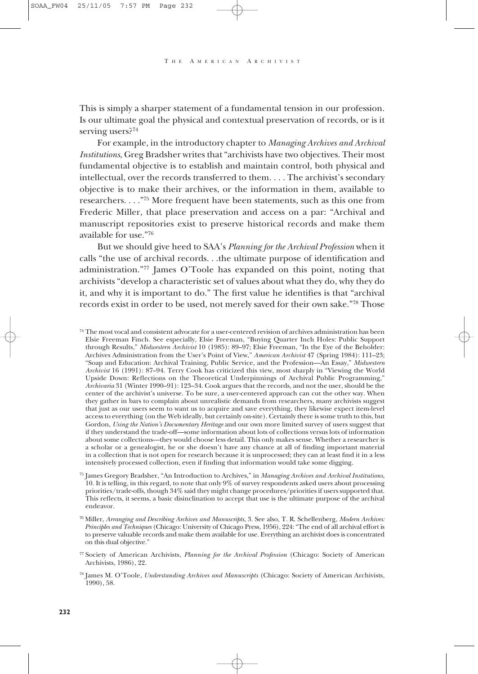This is simply a sharper statement of a fundamental tension in our profession. Is our ultimate goal the physical and contextual preservation of records, or is it serving users?<sup>74</sup>

For example, in the introductory chapter to *Managing Archives and Archival Institutions*, Greg Bradsher writes that "archivists have two objectives. Their most fundamental objective is to establish and maintain control, both physical and intellectual, over the records transferred to them. . . . The archivist's secondary objective is to make their archives, or the information in them, available to researchers. . . ."75 More frequent have been statements, such as this one from Frederic Miller, that place preservation and access on a par: "Archival and manuscript repositories exist to preserve historical records and make them available for use."76

But we should give heed to SAA's *Planning for the Archival Profession* when it calls "the use of archival records. . .the ultimate purpose of identification and administration."77 James O'Toole has expanded on this point, noting that archivists "develop a characteristic set of values about what they do, why they do it, and why it is important to do." The first value he identifies is that "archival records exist in order to be used, not merely saved for their own sake."78 Those

<sup>74</sup> The most vocal and consistent advocate for a user-centered revision of archives administration has been Elsie Freeman Finch. See especially, Elsie Freeman, "Buying Quarter Inch Holes: Public Support through Results," *Midwestern Archivist* 10 (1985): 89–97; Elsie Freeman, "In the Eye of the Beholder: Archives Administration from the User's Point of View," *American Archivist* 47 (Spring 1984): 111–23; "Soap and Education: Archival Training, Public Service, and the Profession—An Essay," *Midwestern Archivist* 16 (1991): 87–94. Terry Cook has criticized this view, most sharply in "Viewing the World Upside Down: Reflections on the Theoretical Underpinnings of Archival Public Programming," *Archivaria* 31 (Winter 1990–91): 123–34. Cook argues that the records, and not the user, should be the center of the archivist's universe. To be sure, a user-centered approach can cut the other way. When they gather in bars to complain about unrealistic demands from researchers, many archivists suggest that just as our users seem to want us to acquire and save everything, they likewise expect item-level access to everything (on the Web ideally, but certainly on-site). Certainly there is some truth to this, but Gordon, *Using the Nation's Documentary Heritage* and our own more limited survey of users suggest that if they understand the trade-off—some information about lots of collections versus lots of information about some collections—they would choose less detail. This only makes sense. Whether a researcher is a scholar or a genealogist, he or she doesn't have any chance at all of finding important material in a collection that is not open for research because it is unprocessed; they can at least find it in a less intensively processed collection, even if finding that information would take some digging.

<sup>75</sup> James Gregory Bradsher, "An Introduction to Archives," in *Managing Archives and Archival Institutions*, 10. It is telling, in this regard, to note that only 9% of survey respondents asked users about processing priorities/trade-offs, though 34% said they might change procedures/priorities if users supported that. This reflects, it seems, a basic disinclination to accept that use is the ultimate purpose of the archival endeavor.

<sup>76</sup> Miller, *Arranging and Describing Archives and Manuscripts*, 3. See also, T. R. Schellenberg, *Modern Archives: Principles and Techniques* (Chicago: University of Chicago Press, 1956), 224: "The end of all archival effort is to preserve valuable records and make them available for use. Everything an archivist does is concentrated on this dual objective."

<sup>77</sup> Society of American Archivists, *Planning for the Archival Profession* (Chicago: Society of American Archivists, 1986), 22.

<sup>78</sup> James M. O'Toole, *Understanding Archives and Manuscripts* (Chicago: Society of American Archivists, 1990), 58.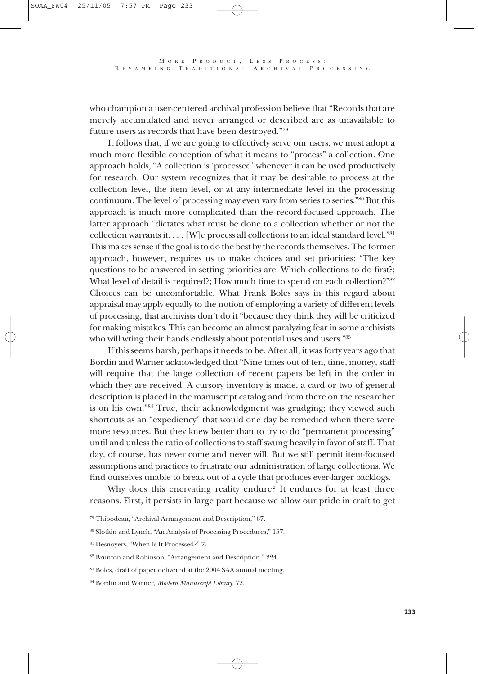who champion a user-centered archival profession believe that "Records that are merely accumulated and never arranged or described are as unavailable to future users as records that have been destroyed."79

It follows that, if we are going to effectively serve our users, we must adopt a much more flexible conception of what it means to "process" a collection. One approach holds, "A collection is 'processed' whenever it can be used productively for research. Our system recognizes that it may be desirable to process at the collection level, the item level, or at any intermediate level in the processing continuum. The level of processing may even vary from series to series."80 But this approach is much more complicated than the record-focused approach. The latter approach "dictates what must be done to a collection whether or not the collection warrants it. . . . [W]e process all collections to an ideal standard level."81 This makes sense if the goal is to do the best by the records themselves. The former approach, however, requires us to make choices and set priorities: "The key questions to be answered in setting priorities are: Which collections to do first?; What level of detail is required?; How much time to spend on each collection?"82 Choices can be uncomfortable. What Frank Boles says in this regard about appraisal may apply equally to the notion of employing a variety of different levels of processing, that archivists don't do it "because they think they will be criticized for making mistakes. This can become an almost paralyzing fear in some archivists who will wring their hands endlessly about potential uses and users."83

If this seems harsh, perhaps it needs to be. After all, it was forty years ago that Bordin and Warner acknowledged that "Nine times out of ten, time, money, staff will require that the large collection of recent papers be left in the order in which they are received. A cursory inventory is made, a card or two of general description is placed in the manuscript catalog and from there on the researcher is on his own."84 True, their acknowledgment was grudging; they viewed such shortcuts as an "expediency" that would one day be remedied when there were more resources. But they knew better than to try to do "permanent processing" until and unless the ratio of collections to staff swung heavily in favor of staff. That day, of course, has never come and never will. But we still permit item-focused assumptions and practices to frustrate our administration of large collections. We find ourselves unable to break out of a cycle that produces ever-larger backlogs.

Why does this enervating reality endure? It endures for at least three reasons. First, it persists in large part because we allow our pride in craft to get

<sup>79</sup> Thibodeau, "Archival Arrangement and Description," 67.

<sup>80</sup> Slotkin and Lynch, "An Analysis of Processing Procedures," 157.

<sup>81</sup> Desnoyers, "When Is It Processed?" 7.

<sup>82</sup> Brunton and Robinson, "Arrangement and Description," 224.

<sup>83</sup> Boles, draft of paper delivered at the 2004 SAA annual meeting.

<sup>84</sup> Bordin and Warner, *Modern Manuscript Library*, 72.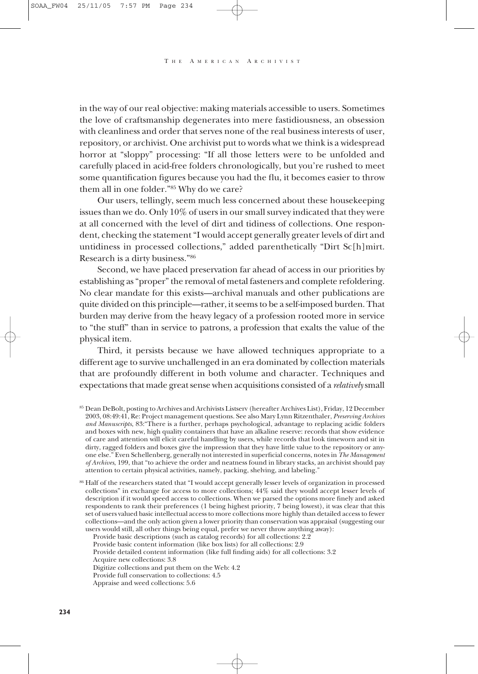in the way of our real objective: making materials accessible to users. Sometimes the love of craftsmanship degenerates into mere fastidiousness, an obsession with cleanliness and order that serves none of the real business interests of user, repository, or archivist. One archivist put to words what we think is a widespread horror at "sloppy" processing: "If all those letters were to be unfolded and carefully placed in acid-free folders chronologically, but you're rushed to meet some quantification figures because you had the flu, it becomes easier to throw them all in one folder."85 Why do we care?

Our users, tellingly, seem much less concerned about these housekeeping issues than we do. Only 10% of users in our small survey indicated that they were at all concerned with the level of dirt and tidiness of collections. One respondent, checking the statement "I would accept generally greater levels of dirt and untidiness in processed collections," added parenthetically "Dirt Sc[h]mirt. Research is a dirty business."86

Second, we have placed preservation far ahead of access in our priorities by establishing as "proper" the removal of metal fasteners and complete refoldering. No clear mandate for this exists—archival manuals and other publications are quite divided on this principle—rather, it seems to be a self-imposed burden. That burden may derive from the heavy legacy of a profession rooted more in service to "the stuff" than in service to patrons, a profession that exalts the value of the physical item.

Third, it persists because we have allowed techniques appropriate to a different age to survive unchallenged in an era dominated by collection materials that are profoundly different in both volume and character. Techniques and expectations that made great sense when acquisitions consisted of a *relatively*small

Provide basic descriptions (such as catalog records) for all collections: 2.2 Provide basic content information (like box lists) for all collections: 2.9 Provide detailed content information (like full finding aids) for all collections: 3.2 Acquire new collections: 3.8 Digitize collections and put them on the Web: 4.2 Provide full conservation to collections: 4.5 Appraise and weed collections: 5.6

<sup>85</sup> Dean DeBolt, posting to Archives and Archivists Listserv (hereafter Archives List), Friday, 12 December 2003, 08:49:41, Re: Project management questions. See also Mary Lynn Ritzenthaler, *Preserving Archives and Manuscripts*, 83:"There is a further, perhaps psychological, advantage to replacing acidic folders and boxes with new, high quality containers that have an alkaline reserve: records that show evidence of care and attention will elicit careful handling by users, while records that look timeworn and sit in dirty, ragged folders and boxes give the impression that they have little value to the repository or anyone else." Even Schellenberg, generally not interested in superficial concerns, notes in *The Management of Archives*, 199, that "to achieve the order and neatness found in library stacks, an archivist should pay attention to certain physical activities, namely, packing, shelving, and labeling."

<sup>86</sup> Half of the researchers stated that "I would accept generally lesser levels of organization in processed collections" in exchange for access to more collections; 44% said they would accept lesser levels of description if it would speed access to collections. When we parsed the options more finely and asked respondents to rank their preferences (1 being highest priority, 7 being lowest), it was clear that this set of users valued basic intellectual access to more collections more highly than detailed access to fewer collections—and the only action given a lower priority than conservation was appraisal (suggesting our users would still, all other things being equal, prefer we never throw anything away):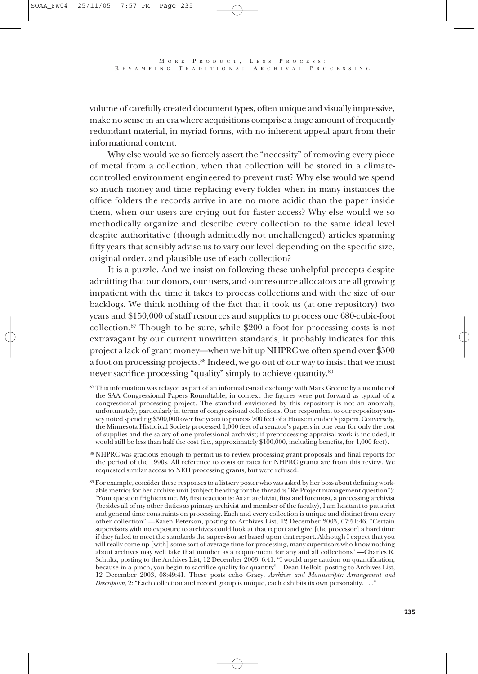volume of carefully created document types, often unique and visually impressive, make no sense in an era where acquisitions comprise a huge amount of frequently redundant material, in myriad forms, with no inherent appeal apart from their informational content.

Why else would we so fiercely assert the "necessity" of removing every piece of metal from a collection, when that collection will be stored in a climatecontrolled environment engineered to prevent rust? Why else would we spend so much money and time replacing every folder when in many instances the office folders the records arrive in are no more acidic than the paper inside them, when our users are crying out for faster access? Why else would we so methodically organize and describe every collection to the same ideal level despite authoritative (though admittedly not unchallenged) articles spanning fifty years that sensibly advise us to vary our level depending on the specific size, original order, and plausible use of each collection?

It is a puzzle. And we insist on following these unhelpful precepts despite admitting that our donors, our users, and our resource allocators are all growing impatient with the time it takes to process collections and with the size of our backlogs. We think nothing of the fact that it took us (at one repository) two years and \$150,000 of staff resources and supplies to process one 680-cubic-foot collection.87 Though to be sure, while \$200 a foot for processing costs is not extravagant by our current unwritten standards, it probably indicates for this project a lack of grant money—when we hit up NHPRC we often spend over \$500 a foot on processing projects.88 Indeed, we go out of our way to insist that we must never sacrifice processing "quality" simply to achieve quantity.89

<sup>88</sup> NHPRC was gracious enough to permit us to review processing grant proposals and final reports for the period of the 1990s. All reference to costs or rates for NHPRC grants are from this review. We requested similar access to NEH processing grants, but were refused.

<sup>89</sup> For example, consider these responses to a listserv poster who was asked by her boss about defining workable metrics for her archive unit (subject heading for the thread is "Re Project management question"): "Your question frightens me. My first reaction is: As an archivist, first and foremost, a processing archivist (besides all of my other duties as primary archivist and member of the faculty), I am hesitant to put strict and general time constraints on processing. Each and every collection is unique and distinct from every other collection" —Karen Peterson, posting to Archives List, 12 December 2003, 07:51:46. "Certain supervisors with no exposure to archives could look at that report and give [the processor] a hard time if they failed to meet the standards the supervisor set based upon that report. Although I expect that you will really come up [with] some sort of average time for processing, many supervisors who know nothing about archives may well take that number as a requirement for any and all collections" —Charles R. Schultz, posting to the Archives List, 12 December 2003, 6:41. "I would urge caution on quantification, because in a pinch, you begin to sacrifice quality for quantity"—Dean DeBolt, posting to Archives List, 12 December 2003, 08:49:41. These posts echo Gracy, *Archives and Manuscripts: Arrangement and Description*, 2: "Each collection and record group is unique, each exhibits its own personality. . . ."

<sup>87</sup> This information was relayed as part of an informal e-mail exchange with Mark Greene by a member of the SAA Congressional Papers Roundtable; in context the figures were put forward as typical of a congressional processing project. The standard envisioned by this repository is not an anomaly, unfortunately, particularly in terms of congressional collections. One respondent to our repository survey noted spending \$300,000 over five years to process 700 feet of a House member's papers. Conversely, the Minnesota Historical Society processed 1,000 feet of a senator's papers in one year for only the cost of supplies and the salary of one professional archivist; if preprocessing appraisal work is included, it would still be less than half the cost (i.e., approximately \$100,000, including benefits, for 1,000 feet).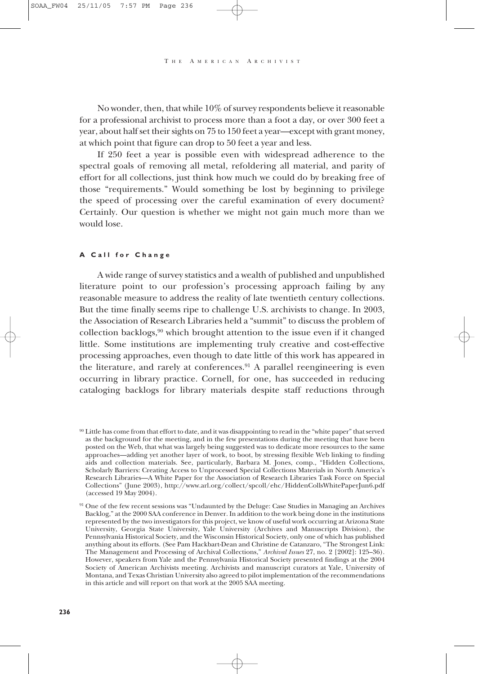No wonder, then, that while 10% of survey respondents believe it reasonable for a professional archivist to process more than a foot a day, or over 300 feet a year, about half set their sights on 75 to 150 feet a year—except with grant money, at which point that figure can drop to 50 feet a year and less.

If 250 feet a year is possible even with widespread adherence to the spectral goals of removing all metal, refoldering all material, and parity of effort for all collections, just think how much we could do by breaking free of those "requirements." Would something be lost by beginning to privilege the speed of processing over the careful examination of every document? Certainly. Our question is whether we might not gain much more than we would lose.

#### **A Call for Change**

A wide range of survey statistics and a wealth of published and unpublished literature point to our profession's processing approach failing by any reasonable measure to address the reality of late twentieth century collections. But the time finally seems ripe to challenge U.S. archivists to change. In 2003, the Association of Research Libraries held a "summit" to discuss the problem of collection backlogs,90 which brought attention to the issue even if it changed little. Some institutions are implementing truly creative and cost-effective processing approaches, even though to date little of this work has appeared in the literature, and rarely at conferences.91 A parallel reengineering is even occurring in library practice. Cornell, for one, has succeeded in reducing cataloging backlogs for library materials despite staff reductions through

<sup>90</sup> Little has come from that effort to date, and it was disappointing to read in the "white paper" that served as the background for the meeting, and in the few presentations during the meeting that have been posted on the Web, that what was largely being suggested was to dedicate more resources to the same approaches—adding yet another layer of work, to boot, by stressing flexible Web linking to finding aids and collection materials. See, particularly, Barbara M. Jones, comp., "Hidden Collections, Scholarly Barriers: Creating Access to Unprocessed Special Collections Materials in North America's Research Libraries—A White Paper for the Association of Research Libraries Task Force on Special Collections" (June 2003), http://www.arl.org/collect/spcoll/ehc/HiddenCollsWhitePaperJun6.pdf (accessed 19 May 2004).

<sup>&</sup>lt;sup>91</sup> One of the few recent sessions was "Undaunted by the Deluge: Case Studies in Managing an Archives Backlog," at the 2000 SAA conference in Denver. In addition to the work being done in the institutions represented by the two investigators for this project, we know of useful work occurring at Arizona State University, Georgia State University, Yale University (Archives and Manuscripts Division), the Pennsylvania Historical Society, and the Wisconsin Historical Society, only one of which has published anything about its efforts. (See Pam Hackbart-Dean and Christine de Catanzaro, "The Strongest Link: The Management and Processing of Archival Collections," *Archival Issues* 27, no. 2 [2002]: 125–36). However, speakers from Yale and the Pennsylvania Historical Society presented findings at the 2004 Society of American Archivists meeting. Archivists and manuscript curators at Yale, University of Montana, and Texas Christian University also agreed to pilot implementation of the recommendations in this article and will report on that work at the 2005 SAA meeting.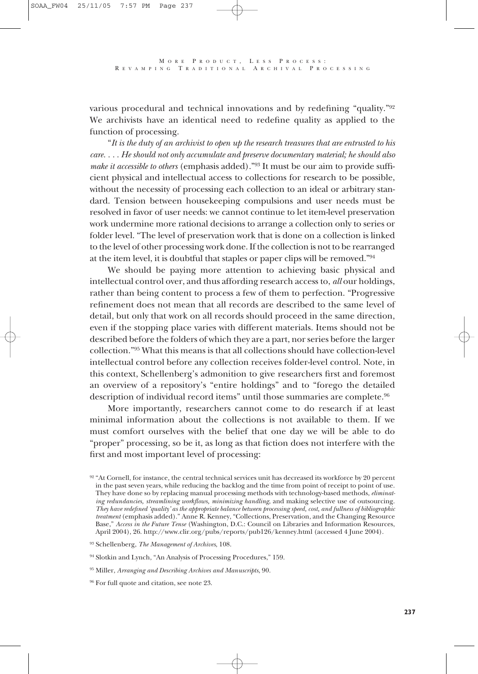various procedural and technical innovations and by redefining "quality."92 We archivists have an identical need to redefine quality as applied to the function of processing.

"*It is the duty of an archivist to open up the research treasures that are entrusted to his care. . . . He should not only accumulate and preserve documentary material; he should also make it accessible to others* (emphasis added)."93 It must be our aim to provide sufficient physical and intellectual access to collections for research to be possible, without the necessity of processing each collection to an ideal or arbitrary standard. Tension between housekeeping compulsions and user needs must be resolved in favor of user needs: we cannot continue to let item-level preservation work undermine more rational decisions to arrange a collection only to series or folder level. "The level of preservation work that is done on a collection is linked to the level of other processing work done. If the collection is not to be rearranged at the item level, it is doubtful that staples or paper clips will be removed."94

We should be paying more attention to achieving basic physical and intellectual control over, and thus affording research access to, *all* our holdings, rather than being content to process a few of them to perfection. "Progressive refinement does not mean that all records are described to the same level of detail, but only that work on all records should proceed in the same direction, even if the stopping place varies with different materials. Items should not be described before the folders of which they are a part, nor series before the larger collection."95 What this means is that all collections should have collection-level intellectual control before any collection receives folder-level control. Note, in this context, Schellenberg's admonition to give researchers first and foremost an overview of a repository's "entire holdings" and to "forego the detailed description of individual record items" until those summaries are complete.<sup>96</sup>

More importantly, researchers cannot come to do research if at least minimal information about the collections is not available to them. If we must comfort ourselves with the belief that one day we will be able to do "proper" processing, so be it, as long as that fiction does not interfere with the first and most important level of processing:

<sup>92 &</sup>quot;At Cornell, for instance, the central technical services unit has decreased its workforce by 20 percent in the past seven years, while reducing the backlog and the time from point of receipt to point of use. They have done so by replacing manual processing methods with technology-based methods, *eliminating redundancies, streamlining workflows, minimizing handling*, and making selective use of outsourcing. *They have redefined 'quality' as the appropriate balance between processing speed, cost, and fullness of bibliographic treatment* (emphasis added)." Anne R. Kenney, "Collections, Preservation, and the Changing Resource Base," *Access in the Future Tense* (Washington, D.C.: Council on Libraries and Information Resources, April 2004), 26. http://www.clir.org/pubs/reports/pub126/kenney.html (accessed 4 June 2004).

<sup>93</sup> Schellenberg, *The Management of Archives*, 108.

<sup>94</sup> Slotkin and Lynch, "An Analysis of Processing Procedures," 159.

<sup>95</sup> Miller, *Arranging and Describing Archives and Manuscripts*, 90.

<sup>96</sup> For full quote and citation, see note 23.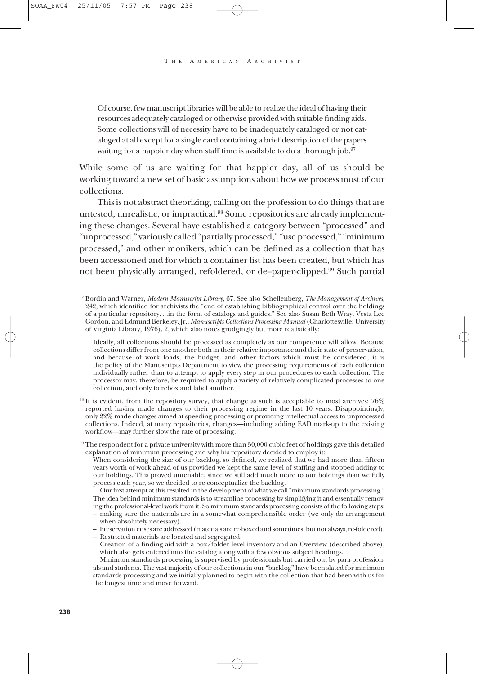Of course, few manuscript libraries will be able to realize the ideal of having their resources adequately cataloged or otherwise provided with suitable finding aids. Some collections will of necessity have to be inadequately cataloged or not cataloged at all except for a single card containing a brief description of the papers waiting for a happier day when staff time is available to do a thorough job.<sup>97</sup>

While some of us are waiting for that happier day, all of us should be working toward a new set of basic assumptions about how we process most of our collections.

This is not abstract theorizing, calling on the profession to do things that are untested, unrealistic, or impractical.98 Some repositories are already implementing these changes. Several have established a category between "processed" and "unprocessed," variously called "partially processed," "use processed," "minimum processed," and other monikers, which can be defined as a collection that has been accessioned and for which a container list has been created, but which has not been physically arranged, refoldered, or de–paper-clipped.99 Such partial

<sup>97</sup> Bordin and Warner, *Modern Manuscript Library*, 67. See also Schellenberg, *The Management of Archives*, 242, which identified for archivists the "end of establishing bibliographical control over the holdings of a particular repository. . .in the form of catalogs and guides." See also Susan Beth Wray, Vesta Lee Gordon, and Edmund Berkeley, Jr., *Manuscripts Collections Processing Manual* (Charlottesville: University of Virginia Library, 1976), 2, which also notes grudgingly but more realistically:

Ideally, all collections should be processed as completely as our competence will allow. Because collections differ from one another both in their relative importance and their state of preservation, and because of work loads, the budget, and other factors which must be considered, it is the policy of the Manuscripts Department to view the processing requirements of each collection individually rather than to attempt to apply every step in our procedures to each collection. The processor may, therefore, be required to apply a variety of relatively complicated processes to one collection, and only to rebox and label another.

<sup>98</sup> It is evident, from the repository survey, that change as such is acceptable to most archives: 76% reported having made changes to their processing regime in the last 10 years. Disappointingly, only 22% made changes aimed at speeding processing or providing intellectual access to unprocessed collections. Indeed, at many repositories, changes—including adding EAD mark-up to the existing workflow—may further slow the rate of processing.

 $99$  The respondent for a private university with more than  $50,000$  cubic feet of holdings gave this detailed explanation of minimum processing and why his repository decided to employ it:

When considering the size of our backlog, so defined, we realized that we had more than fifteen years worth of work ahead of us provided we kept the same level of staffing and stopped adding to our holdings. This proved untenable, since we still add much more to our holdings than we fully process each year, so we decided to re-conceptualize the backlog.

Our first attempt at this resulted in the development of what we call "minimum standards processing." The idea behind minimum standards is to streamline processing by simplifying it and essentially removing the professional-level work from it. So minimum standards processing consists of the following steps:

- making sure the materials are in a somewhat comprehensible order (we only do arrangement when absolutely necessary).
- Preservation crises are addressed (materials are re-boxed and sometimes, but not always, re-foldered).
- Restricted materials are located and segregated.
- Creation of a finding aid with a box/folder level inventory and an Overview (described above), which also gets entered into the catalog along with a few obvious subject headings.

Minimum standards processing is supervised by professionals but carried out by para-professionals and students. The vast majority of our collections in our "backlog" have been slated for minimum standards processing and we initially planned to begin with the collection that had been with us for the longest time and move forward.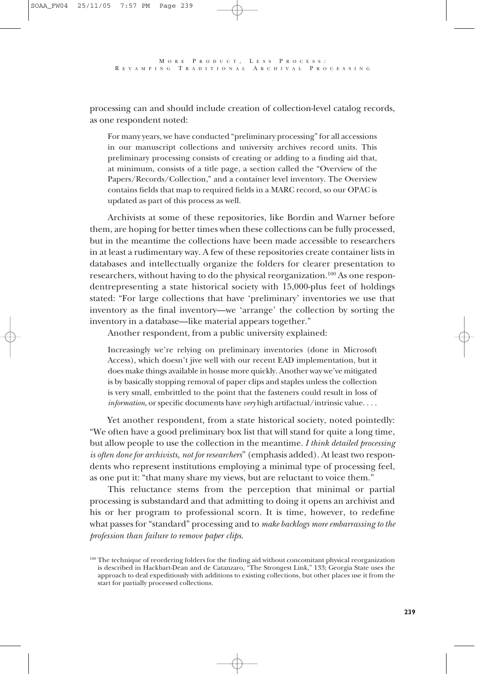processing can and should include creation of collection-level catalog records, as one respondent noted:

For many years, we have conducted "preliminary processing" for all accessions in our manuscript collections and university archives record units. This preliminary processing consists of creating or adding to a finding aid that, at minimum, consists of a title page, a section called the "Overview of the Papers/Records/Collection," and a container level inventory. The Overview contains fields that map to required fields in a MARC record, so our OPAC is updated as part of this process as well.

Archivists at some of these repositories, like Bordin and Warner before them, are hoping for better times when these collections can be fully processed, but in the meantime the collections have been made accessible to researchers in at least a rudimentary way. A few of these repositories create container lists in databases and intellectually organize the folders for clearer presentation to researchers, without having to do the physical reorganization.100 As one respondentrepresenting a state historical society with 15,000-plus feet of holdings stated: "For large collections that have 'preliminary' inventories we use that inventory as the final inventory—we 'arrange' the collection by sorting the inventory in a database—like material appears together."

Another respondent, from a public university explained:

Increasingly we're relying on preliminary inventories (done in Microsoft Access), which doesn't jive well with our recent EAD implementation, but it does make things available in house more quickly. Another way we've mitigated is by basically stopping removal of paper clips and staples unless the collection is very small, embrittled to the point that the fasteners could result in loss of *information*, or specific documents have *very* high artifactual/intrinsic value. . . .

Yet another respondent, from a state historical society, noted pointedly: "We often have a good preliminary box list that will stand for quite a long time, but allow people to use the collection in the meantime. *I think detailed processing is often done for archivists, not for researchers*" (emphasis added). At least two respondents who represent institutions employing a minimal type of processing feel, as one put it: "that many share my views, but are reluctant to voice them."

This reluctance stems from the perception that minimal or partial processing is substandard and that admitting to doing it opens an archivist and his or her program to professional scorn. It is time, however, to redefine what passes for "standard" processing and to *make backlogs more embarrassing to the profession than failure to remove paper clips*.

<sup>100</sup> The technique of reordering folders for the finding aid without concomitant physical reorganization is described in Hackbart-Dean and de Catanzaro, "The Strongest Link," 133; Georgia State uses the approach to deal expeditiously with additions to existing collections, but other places use it from the start for partially processed collections.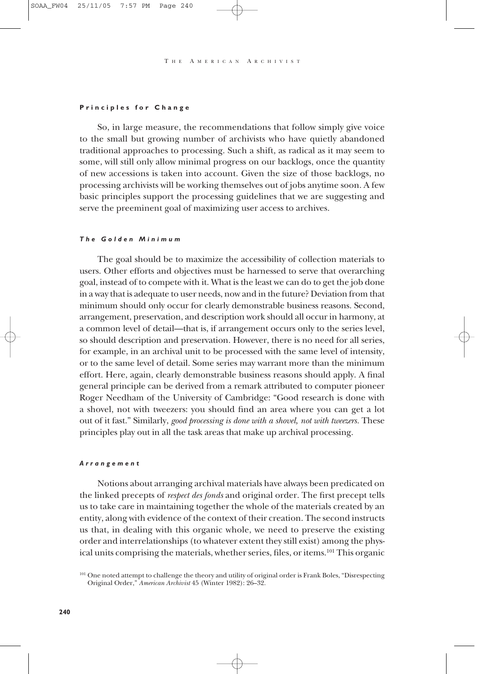#### **Principles for Change**

So, in large measure, the recommendations that follow simply give voice to the small but growing number of archivists who have quietly abandoned traditional approaches to processing. Such a shift, as radical as it may seem to some, will still only allow minimal progress on our backlogs, once the quantity of new accessions is taken into account. Given the size of those backlogs, no processing archivists will be working themselves out of jobs anytime soon. A few basic principles support the processing guidelines that we are suggesting and serve the preeminent goal of maximizing user access to archives.

#### *The Golden Minimum*

The goal should be to maximize the accessibility of collection materials to users. Other efforts and objectives must be harnessed to serve that overarching goal, instead of to compete with it. What is the least we can do to get the job done in a way that is adequate to user needs, now and in the future? Deviation from that minimum should only occur for clearly demonstrable business reasons. Second, arrangement, preservation, and description work should all occur in harmony, at a common level of detail—that is, if arrangement occurs only to the series level, so should description and preservation. However, there is no need for all series, for example, in an archival unit to be processed with the same level of intensity, or to the same level of detail. Some series may warrant more than the minimum effort. Here, again, clearly demonstrable business reasons should apply. A final general principle can be derived from a remark attributed to computer pioneer Roger Needham of the University of Cambridge: "Good research is done with a shovel, not with tweezers: you should find an area where you can get a lot out of it fast." Similarly, *good processing is done with a shovel, not with tweezers.* These principles play out in all the task areas that make up archival processing.

#### *Arrangement*

Notions about arranging archival materials have always been predicated on the linked precepts of *respect des fonds* and original order. The first precept tells us to take care in maintaining together the whole of the materials created by an entity, along with evidence of the context of their creation. The second instructs us that, in dealing with this organic whole, we need to preserve the existing order and interrelationships (to whatever extent they still exist) among the physical units comprising the materials, whether series, files, or items.101 This organic

<sup>101</sup> One noted attempt to challenge the theory and utility of original order is Frank Boles, "Disrespecting Original Order," *American Archivist* 45 (Winter 1982): 26–32.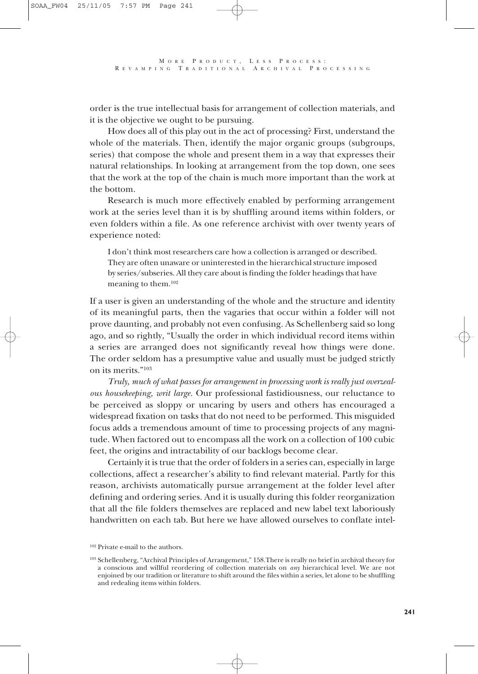order is the true intellectual basis for arrangement of collection materials, and it is the objective we ought to be pursuing.

How does all of this play out in the act of processing? First, understand the whole of the materials. Then, identify the major organic groups (subgroups, series) that compose the whole and present them in a way that expresses their natural relationships. In looking at arrangement from the top down, one sees that the work at the top of the chain is much more important than the work at the bottom.

Research is much more effectively enabled by performing arrangement work at the series level than it is by shuffling around items within folders, or even folders within a file. As one reference archivist with over twenty years of experience noted:

I don't think most researchers care how a collection is arranged or described. They are often unaware or uninterested in the hierarchical structure imposed by series/subseries. All they care about is finding the folder headings that have meaning to them.102

If a user is given an understanding of the whole and the structure and identity of its meaningful parts, then the vagaries that occur within a folder will not prove daunting, and probably not even confusing. As Schellenberg said so long ago, and so rightly, "Usually the order in which individual record items within a series are arranged does not significantly reveal how things were done. The order seldom has a presumptive value and usually must be judged strictly on its merits."103

*Truly, much of what passes for arrangement in processing work is really just overzealous housekeeping, writ large.* Our professional fastidiousness, our reluctance to be perceived as sloppy or uncaring by users and others has encouraged a widespread fixation on tasks that do not need to be performed. This misguided focus adds a tremendous amount of time to processing projects of any magnitude. When factored out to encompass all the work on a collection of 100 cubic feet, the origins and intractability of our backlogs become clear.

Certainly it is true that the order of folders in a series can, especially in large collections, affect a researcher's ability to find relevant material. Partly for this reason, archivists automatically pursue arrangement at the folder level after defining and ordering series. And it is usually during this folder reorganization that all the file folders themselves are replaced and new label text laboriously handwritten on each tab. But here we have allowed ourselves to conflate intel-

<sup>102</sup> Private e-mail to the authors.

<sup>103</sup> Schellenberg, "Archival Principles of Arrangement," 158.There is really no brief in archival theory for a conscious and willful reordering of collection materials on *any* hierarchical level. We are not enjoined by our tradition or literature to shift around the files within a series, let alone to be shuffling and redealing items within folders.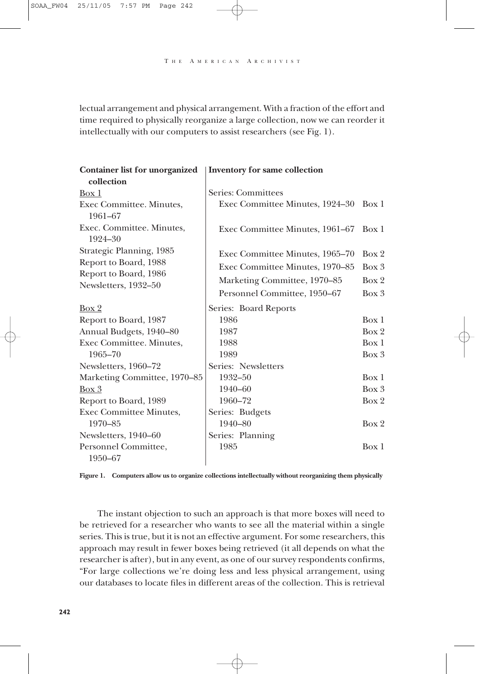lectual arrangement and physical arrangement. With a fraction of the effort and time required to physically reorganize a large collection, now we can reorder it intellectually with our computers to assist researchers (see Fig. 1).

| <b>Container list for unorganized</b>         | <b>Inventory for same collection</b>  |       |  |  |
|-----------------------------------------------|---------------------------------------|-------|--|--|
| collection                                    |                                       |       |  |  |
| Box 1                                         | Series: Committees                    |       |  |  |
| Exec Committee. Minutes,<br>1961-67           | Exec Committee Minutes, 1924–30 Box 1 |       |  |  |
| Exec. Committee. Minutes,<br>1924-30          | Exec Committee Minutes, 1961–67 Box 1 |       |  |  |
| Strategic Planning, 1985                      | Exec Committee Minutes, 1965–70       | Box 2 |  |  |
| Report to Board, 1988                         | Exec Committee Minutes, 1970–85       | Box 3 |  |  |
| Report to Board, 1986<br>Newsletters, 1932-50 | Marketing Committee, 1970-85          | Box 2 |  |  |
|                                               | Personnel Committee, 1950–67          | Box 3 |  |  |
| Box 2                                         | Series: Board Reports                 |       |  |  |
| Report to Board, 1987                         | 1986                                  | Box 1 |  |  |
| Annual Budgets, 1940-80                       | 1987                                  | Box 2 |  |  |
| Exec Committee. Minutes,                      | 1988                                  | Box 1 |  |  |
| 1965-70                                       | 1989                                  | Box 3 |  |  |
| Newsletters, 1960-72                          | Series: Newsletters                   |       |  |  |
| Marketing Committee, 1970-85                  | 1932-50                               | Box 1 |  |  |
| Box 3                                         | 1940-60                               | Box 3 |  |  |
| Report to Board, 1989                         | 1960-72                               | Box 2 |  |  |
| Exec Committee Minutes,                       | Series: Budgets                       |       |  |  |
| 1970-85                                       | 1940-80                               | Box 2 |  |  |
| Newsletters, 1940-60                          | Series: Planning                      |       |  |  |
| Personnel Committee,                          | 1985                                  | Box 1 |  |  |
| 1950-67                                       |                                       |       |  |  |

**Figure 1. Computers allow us to organize collections intellectually without reorganizing them physically**

The instant objection to such an approach is that more boxes will need to be retrieved for a researcher who wants to see all the material within a single series. This is true, but it is not an effective argument. For some researchers, this approach may result in fewer boxes being retrieved (it all depends on what the researcher is after), but in any event, as one of our survey respondents confirms, "For large collections we're doing less and less physical arrangement, using our databases to locate files in different areas of the collection. This is retrieval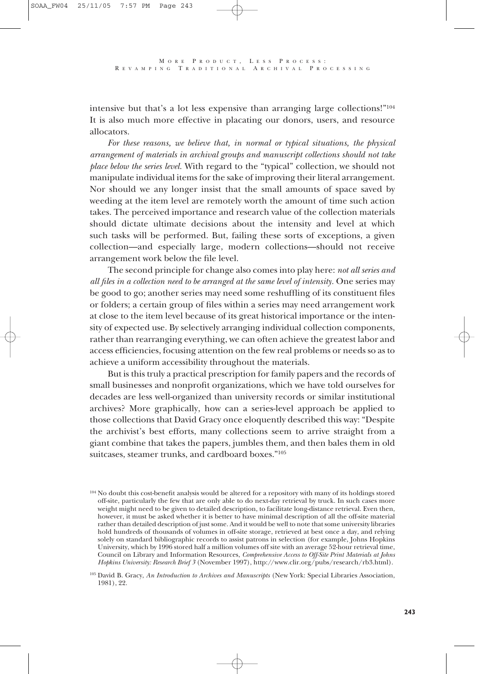intensive but that's a lot less expensive than arranging large collections!"104 It is also much more effective in placating our donors, users, and resource allocators.

*For these reasons, we believe that, in normal or typical situations, the physical arrangement of materials in archival groups and manuscript collections should not take place below the series level.* With regard to the "typical" collection, we should not manipulate individual items for the sake of improving their literal arrangement. Nor should we any longer insist that the small amounts of space saved by weeding at the item level are remotely worth the amount of time such action takes. The perceived importance and research value of the collection materials should dictate ultimate decisions about the intensity and level at which such tasks will be performed. But, failing these sorts of exceptions, a given collection—and especially large, modern collections—should not receive arrangement work below the file level.

The second principle for change also comes into play here: *not all series and all files in a collection need to be arranged at the same level of intensity.* One series may be good to go; another series may need some reshuffling of its constituent files or folders; a certain group of files within a series may need arrangement work at close to the item level because of its great historical importance or the intensity of expected use. By selectively arranging individual collection components, rather than rearranging everything, we can often achieve the greatest labor and access efficiencies, focusing attention on the few real problems or needs so as to achieve a uniform accessibility throughout the materials.

But is this truly a practical prescription for family papers and the records of small businesses and nonprofit organizations, which we have told ourselves for decades are less well-organized than university records or similar institutional archives? More graphically, how can a series-level approach be applied to those collections that David Gracy once eloquently described this way: "Despite the archivist's best efforts, many collections seem to arrive straight from a giant combine that takes the papers, jumbles them, and then bales them in old suitcases, steamer trunks, and cardboard boxes."105

<sup>104</sup> No doubt this cost-benefit analysis would be altered for a repository with many of its holdings stored off-site, particularly the few that are only able to do next-day retrieval by truck. In such cases more weight might need to be given to detailed description, to facilitate long-distance retrieval. Even then, however, it must be asked whether it is better to have minimal description of all the off-site material rather than detailed description of just some. And it would be well to note that some university libraries hold hundreds of thousands of volumes in off-site storage, retrieved at best once a day, and relying solely on standard bibliographic records to assist patrons in selection (for example, Johns Hopkins University, which by 1996 stored half a million volumes off site with an average 52-hour retrieval time, Council on Library and Information Resources, *Comprehensive Access to Off-Site Print Materials at Johns Hopkins University: Research Brief 3* (November 1997), http://www.clir.org/pubs/research/rb3.html).

<sup>105</sup> David B. Gracy, *An Introduction to Archives and Manuscripts* (New York: Special Libraries Association, 1981), 22.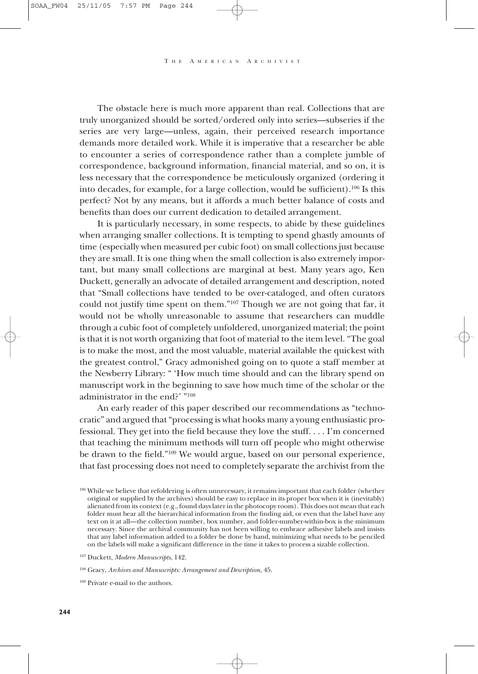The obstacle here is much more apparent than real. Collections that are truly unorganized should be sorted/ordered only into series—subseries if the series are very large—unless, again, their perceived research importance demands more detailed work. While it is imperative that a researcher be able to encounter a series of correspondence rather than a complete jumble of correspondence, background information, financial material, and so on, it is less necessary that the correspondence be meticulously organized (ordering it into decades, for example, for a large collection, would be sufficient).106 Is this perfect? Not by any means, but it affords a much better balance of costs and benefits than does our current dedication to detailed arrangement.

It is particularly necessary, in some respects, to abide by these guidelines when arranging smaller collections. It is tempting to spend ghastly amounts of time (especially when measured per cubic foot) on small collections just because they are small. It is one thing when the small collection is also extremely important, but many small collections are marginal at best. Many years ago, Ken Duckett, generally an advocate of detailed arrangement and description, noted that "Small collections have tended to be over-cataloged, and often curators could not justify time spent on them."107 Though we are not going that far, it would not be wholly unreasonable to assume that researchers can muddle through a cubic foot of completely unfoldered, unorganized material; the point is that it is not worth organizing that foot of material to the item level. "The goal is to make the most, and the most valuable, material available the quickest with the greatest control," Gracy admonished going on to quote a staff member at the Newberry Library: " 'How much time should and can the library spend on manuscript work in the beginning to save how much time of the scholar or the administrator in the end?' "108

An early reader of this paper described our recommendations as "technocratic" and argued that "processing is what hooks many a young enthusiastic professional. They get into the field because they love the stuff. . . . I'm concerned that teaching the minimum methods will turn off people who might otherwise be drawn to the field."109 We would argue, based on our personal experience, that fast processing does not need to completely separate the archivist from the

<sup>106</sup> While we believe that refoldering is often unnecessary, it remains important that each folder (whether original or supplied by the archives) should be easy to replace in its proper box when it is (inevitably) alienated from its context (e.g., found days later in the photocopy room). This does not mean that each folder must bear all the hierarchical information from the finding aid, or even that the label have any text on it at all—the collection number, box number, and folder-number-within-box is the minimum necessary. Since the archival community has not been willing to embrace adhesive labels and insists that any label information added to a folder be done by hand, minimizing what needs to be penciled on the labels will make a significant difference in the time it takes to process a sizable collection.

<sup>107</sup> Duckett, *Modern Manuscripts*, 142.

<sup>108</sup> Gracy, *Archives and Manuscripts: Arrangement and Description*, 45.

<sup>109</sup> Private e-mail to the authors.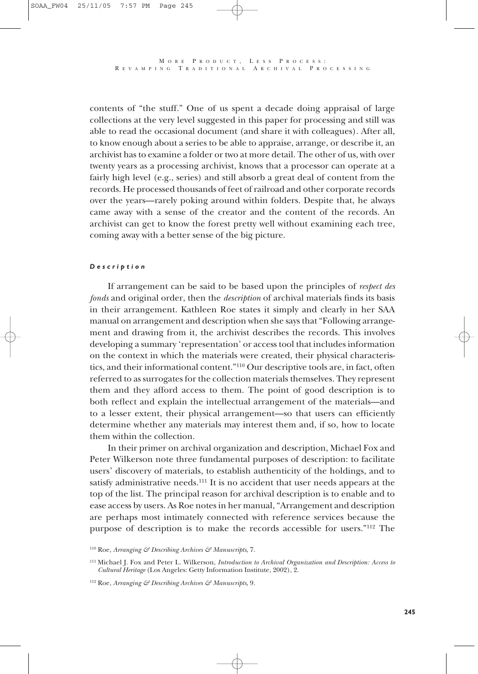contents of "the stuff." One of us spent a decade doing appraisal of large collections at the very level suggested in this paper for processing and still was able to read the occasional document (and share it with colleagues). After all, to know enough about a series to be able to appraise, arrange, or describe it, an archivist has to examine a folder or two at more detail. The other of us, with over twenty years as a processing archivist, knows that a processor can operate at a fairly high level (e.g., series) and still absorb a great deal of content from the records. He processed thousands of feet of railroad and other corporate records over the years—rarely poking around within folders. Despite that, he always came away with a sense of the creator and the content of the records. An archivist can get to know the forest pretty well without examining each tree, coming away with a better sense of the big picture.

#### *Description*

If arrangement can be said to be based upon the principles of *respect des fonds* and original order, then the *description* of archival materials finds its basis in their arrangement. Kathleen Roe states it simply and clearly in her SAA manual on arrangement and description when she says that "Following arrangement and drawing from it, the archivist describes the records. This involves developing a summary 'representation' or access tool that includes information on the context in which the materials were created, their physical characteristics, and their informational content."110 Our descriptive tools are, in fact, often referred to as surrogates for the collection materials themselves. They represent them and they afford access to them. The point of good description is to both reflect and explain the intellectual arrangement of the materials—and to a lesser extent, their physical arrangement—so that users can efficiently determine whether any materials may interest them and, if so, how to locate them within the collection.

In their primer on archival organization and description, Michael Fox and Peter Wilkerson note three fundamental purposes of description: to facilitate users' discovery of materials, to establish authenticity of the holdings, and to satisfy administrative needs.111 It is no accident that user needs appears at the top of the list. The principal reason for archival description is to enable and to ease access by users. As Roe notes in her manual, "Arrangement and description are perhaps most intimately connected with reference services because the purpose of description is to make the records accessible for users."112 The

<sup>110</sup> Roe, *Arranging & Describing Archives & Manuscripts*, 7.

<sup>111</sup> Michael J. Fox and Peter L. Wilkerson, *Introduction to Archival Organization and Description: Access to Cultural Heritage* (Los Angeles: Getty Information Institute, 2002), 2.

<sup>112</sup> Roe, *Arranging & Describing Archives & Manuscripts*, 9.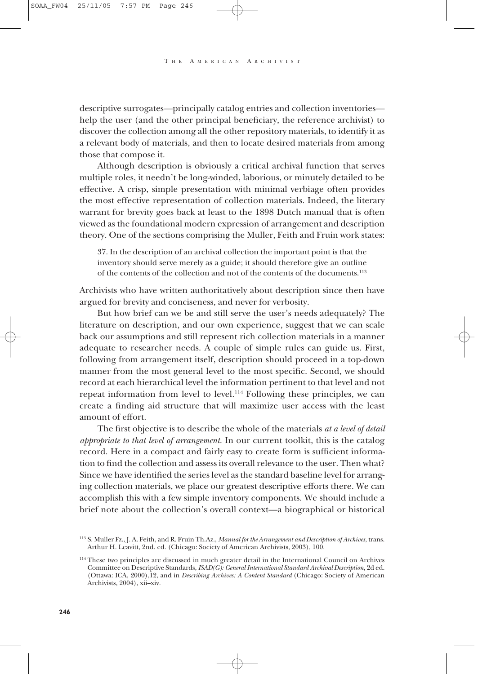descriptive surrogates—principally catalog entries and collection inventories help the user (and the other principal beneficiary, the reference archivist) to discover the collection among all the other repository materials, to identify it as a relevant body of materials, and then to locate desired materials from among those that compose it.

Although description is obviously a critical archival function that serves multiple roles, it needn't be long-winded, laborious, or minutely detailed to be effective. A crisp, simple presentation with minimal verbiage often provides the most effective representation of collection materials. Indeed, the literary warrant for brevity goes back at least to the 1898 Dutch manual that is often viewed as the foundational modern expression of arrangement and description theory. One of the sections comprising the Muller, Feith and Fruin work states:

37. In the description of an archival collection the important point is that the inventory should serve merely as a guide; it should therefore give an outline of the contents of the collection and not of the contents of the documents.113

Archivists who have written authoritatively about description since then have argued for brevity and conciseness, and never for verbosity.

But how brief can we be and still serve the user's needs adequately? The literature on description, and our own experience, suggest that we can scale back our assumptions and still represent rich collection materials in a manner adequate to researcher needs. A couple of simple rules can guide us. First, following from arrangement itself, description should proceed in a top-down manner from the most general level to the most specific. Second, we should record at each hierarchical level the information pertinent to that level and not repeat information from level to level.114 Following these principles, we can create a finding aid structure that will maximize user access with the least amount of effort.

The first objective is to describe the whole of the materials *at a level of detail appropriate to that level of arrangement*. In our current toolkit, this is the catalog record. Here in a compact and fairly easy to create form is sufficient information to find the collection and assess its overall relevance to the user. Then what? Since we have identified the series level as the standard baseline level for arranging collection materials, we place our greatest descriptive efforts there. We can accomplish this with a few simple inventory components. We should include a brief note about the collection's overall context—a biographical or historical

<sup>113</sup> S. Muller Fz., J. A. Feith, and R. Fruin Th.Az., *Manual for the Arrangement and Description of Archives*, trans. Arthur H. Leavitt, 2nd. ed. (Chicago: Society of American Archivists, 2003), 100.

<sup>114</sup> These two principles are discussed in much greater detail in the International Council on Archives Committee on Descriptive Standards, *ISAD(G): General International Standard Archival Description*, 2d ed. (Ottawa: ICA, 2000),12, and in *Describing Archives: A Content Standard* (Chicago: Society of American Archivists, 2004), xii–xiv.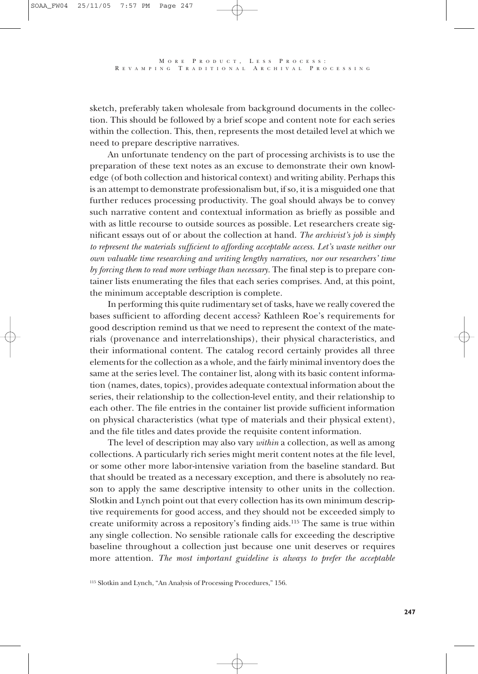sketch, preferably taken wholesale from background documents in the collection. This should be followed by a brief scope and content note for each series within the collection. This, then, represents the most detailed level at which we need to prepare descriptive narratives.

An unfortunate tendency on the part of processing archivists is to use the preparation of these text notes as an excuse to demonstrate their own knowledge (of both collection and historical context) and writing ability. Perhaps this is an attempt to demonstrate professionalism but, if so, it is a misguided one that further reduces processing productivity. The goal should always be to convey such narrative content and contextual information as briefly as possible and with as little recourse to outside sources as possible. Let researchers create significant essays out of or about the collection at hand. *The archivist's job is simply to represent the materials sufficient to affording acceptable access. Let's waste neither our own valuable time researching and writing lengthy narratives, nor our researchers' time by forcing them to read more verbiage than necessary.* The final step is to prepare container lists enumerating the files that each series comprises. And, at this point, the minimum acceptable description is complete.

In performing this quite rudimentary set of tasks, have we really covered the bases sufficient to affording decent access? Kathleen Roe's requirements for good description remind us that we need to represent the context of the materials (provenance and interrelationships), their physical characteristics, and their informational content. The catalog record certainly provides all three elements for the collection as a whole, and the fairly minimal inventory does the same at the series level. The container list, along with its basic content information (names, dates, topics), provides adequate contextual information about the series, their relationship to the collection-level entity, and their relationship to each other. The file entries in the container list provide sufficient information on physical characteristics (what type of materials and their physical extent), and the file titles and dates provide the requisite content information.

The level of description may also vary *within* a collection, as well as among collections. A particularly rich series might merit content notes at the file level, or some other more labor-intensive variation from the baseline standard. But that should be treated as a necessary exception, and there is absolutely no reason to apply the same descriptive intensity to other units in the collection. Slotkin and Lynch point out that every collection has its own minimum descriptive requirements for good access, and they should not be exceeded simply to create uniformity across a repository's finding aids.115 The same is true within any single collection. No sensible rationale calls for exceeding the descriptive baseline throughout a collection just because one unit deserves or requires more attention. *The most important guideline is always to prefer the acceptable* 

<sup>115</sup> Slotkin and Lynch, "An Analysis of Processing Procedures," 156.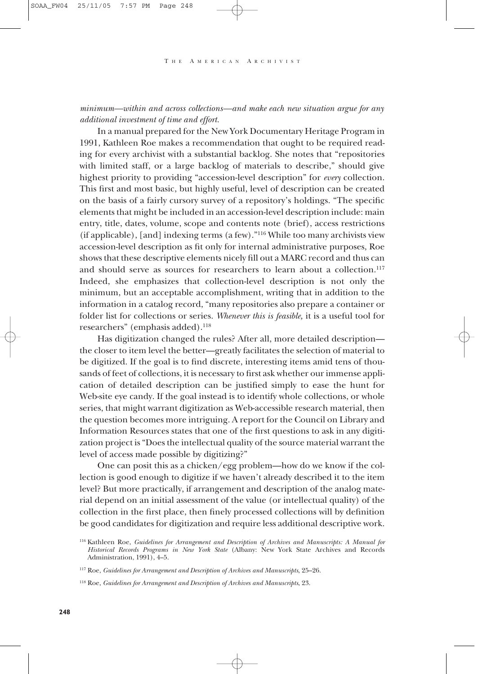*minimum—within and across collections—and make each new situation argue for any additional investment of time and effort.*

In a manual prepared for the New York Documentary Heritage Program in 1991, Kathleen Roe makes a recommendation that ought to be required reading for every archivist with a substantial backlog. She notes that "repositories with limited staff, or a large backlog of materials to describe," should give highest priority to providing "accession-level description" for *every* collection. This first and most basic, but highly useful, level of description can be created on the basis of a fairly cursory survey of a repository's holdings. "The specific elements that might be included in an accession-level description include: main entry, title, dates, volume, scope and contents note (brief), access restrictions (if applicable), [and] indexing terms (a few)."116 While too many archivists view accession-level description as fit only for internal administrative purposes, Roe shows that these descriptive elements nicely fill out a MARC record and thus can and should serve as sources for researchers to learn about a collection.<sup>117</sup> Indeed, she emphasizes that collection-level description is not only the minimum, but an acceptable accomplishment, writing that in addition to the information in a catalog record, "many repositories also prepare a container or folder list for collections or series. *Whenever this is feasible,* it is a useful tool for researchers" (emphasis added).<sup>118</sup>

Has digitization changed the rules? After all, more detailed description the closer to item level the better—greatly facilitates the selection of material to be digitized. If the goal is to find discrete, interesting items amid tens of thousands of feet of collections, it is necessary to first ask whether our immense application of detailed description can be justified simply to ease the hunt for Web-site eye candy. If the goal instead is to identify whole collections, or whole series, that might warrant digitization as Web-accessible research material, then the question becomes more intriguing. A report for the Council on Library and Information Resources states that one of the first questions to ask in any digitization project is "Does the intellectual quality of the source material warrant the level of access made possible by digitizing?"

One can posit this as a chicken/egg problem—how do we know if the collection is good enough to digitize if we haven't already described it to the item level? But more practically, if arrangement and description of the analog material depend on an initial assessment of the value (or intellectual quality) of the collection in the first place, then finely processed collections will by definition be good candidates for digitization and require less additional descriptive work.

<sup>116</sup> Kathleen Roe, *Guidelines for Arrangement and Description of Archives and Manuscripts: A Manual for Historical Records Programs in New York State* (Albany: New York State Archives and Records Administration, 1991), 4–5.

<sup>117</sup> Roe, *Guidelines for Arrangement and Description of Archives and Manuscripts*, 25–26.

<sup>118</sup> Roe, *Guidelines for Arrangement and Description of Archives and Manuscripts*, 23.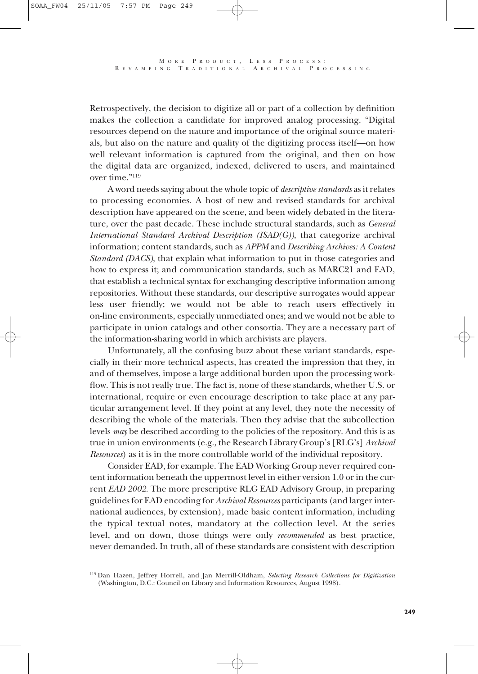Retrospectively, the decision to digitize all or part of a collection by definition makes the collection a candidate for improved analog processing. "Digital resources depend on the nature and importance of the original source materials, but also on the nature and quality of the digitizing process itself—on how well relevant information is captured from the original, and then on how the digital data are organized, indexed, delivered to users, and maintained over time."119

A word needs saying about the whole topic of *descriptive standards* as it relates to processing economies. A host of new and revised standards for archival description have appeared on the scene, and been widely debated in the literature, over the past decade. These include structural standards, such as *General International Standard Archival Description (ISAD(G))*, that categorize archival information; content standards, such as *APPM* and *Describing Archives: A Content Standard (DACS)*, that explain what information to put in those categories and how to express it; and communication standards, such as MARC21 and EAD, that establish a technical syntax for exchanging descriptive information among repositories. Without these standards, our descriptive surrogates would appear less user friendly; we would not be able to reach users effectively in on-line environments, especially unmediated ones; and we would not be able to participate in union catalogs and other consortia. They are a necessary part of the information-sharing world in which archivists are players.

Unfortunately, all the confusing buzz about these variant standards, especially in their more technical aspects, has created the impression that they, in and of themselves, impose a large additional burden upon the processing workflow. This is not really true. The fact is, none of these standards, whether U.S. or international, require or even encourage description to take place at any particular arrangement level. If they point at any level, they note the necessity of describing the whole of the materials. Then they advise that the subcollection levels *may* be described according to the policies of the repository. And this is as true in union environments (e.g., the Research Library Group's [RLG's] *Archival Resources*) as it is in the more controllable world of the individual repository.

Consider EAD, for example. The EAD Working Group never required content information beneath the uppermost level in either version 1.0 or in the current *EAD 2002*. The more prescriptive RLG EAD Advisory Group, in preparing guidelines for EAD encoding for *Archival Resources* participants (and larger international audiences, by extension), made basic content information, including the typical textual notes, mandatory at the collection level. At the series level, and on down, those things were only *recommended* as best practice, never demanded. In truth, all of these standards are consistent with description

<sup>119</sup> Dan Hazen, Jeffrey Horrell, and Jan Merrill-Oldham, *Selecting Research Collections for Digitization* (Washington, D.C.: Council on Library and Information Resources, August 1998).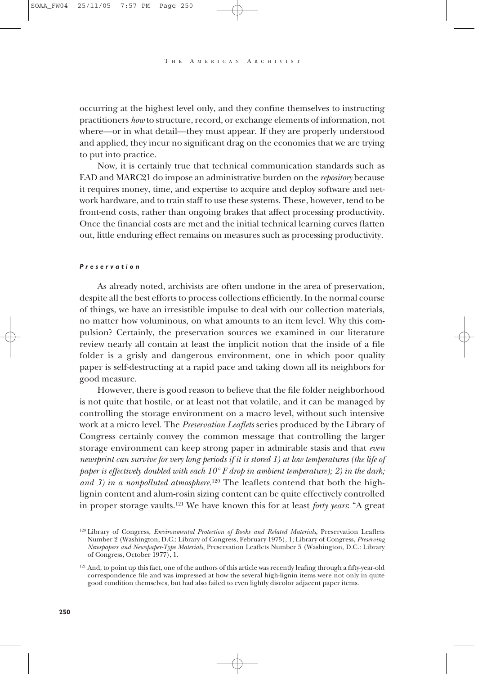occurring at the highest level only, and they confine themselves to instructing practitioners *how* to structure, record, or exchange elements of information, not where—or in what detail—they must appear. If they are properly understood and applied, they incur no significant drag on the economies that we are trying to put into practice.

Now, it is certainly true that technical communication standards such as EAD and MARC21 do impose an administrative burden on the *repository* because it requires money, time, and expertise to acquire and deploy software and network hardware, and to train staff to use these systems. These, however, tend to be front-end costs, rather than ongoing brakes that affect processing productivity. Once the financial costs are met and the initial technical learning curves flatten out, little enduring effect remains on measures such as processing productivity.

#### *Preservation*

As already noted, archivists are often undone in the area of preservation, despite all the best efforts to process collections efficiently. In the normal course of things, we have an irresistible impulse to deal with our collection materials, no matter how voluminous, on what amounts to an item level. Why this compulsion? Certainly, the preservation sources we examined in our literature review nearly all contain at least the implicit notion that the inside of a file folder is a grisly and dangerous environment, one in which poor quality paper is self-destructing at a rapid pace and taking down all its neighbors for good measure.

However, there is good reason to believe that the file folder neighborhood is not quite that hostile, or at least not that volatile, and it can be managed by controlling the storage environment on a macro level, without such intensive work at a micro level. The *Preservation Leaflets* series produced by the Library of Congress certainly convey the common message that controlling the larger storage environment can keep strong paper in admirable stasis and that *even newsprint can survive for very long periods if it is stored 1) at low temperatures (the life of paper is effectively doubled with each 10° F drop in ambient temperature); 2) in the dark; and 3) in a nonpolluted atmosphere.*<sup>120</sup> The leaflets contend that both the highlignin content and alum-rosin sizing content can be quite effectively controlled in proper storage vaults.121 We have known this for at least *forty years*: "A great

<sup>&</sup>lt;sup>120</sup> Library of Congress, *Environmental Protection of Books and Related Materials*, Preservation Leaflets Number 2 (Washington, D.C.: Library of Congress, February 1975), 1; Library of Congress, *Preserving Newspapers and Newspaper-Type Materials*, Preservation Leaflets Number 5 (Washington, D.C.: Library of Congress, October 1977), 1.

<sup>121</sup> And, to point up this fact, one of the authors of this article was recently leafing through a fifty-year-old correspondence file and was impressed at how the several high-lignin items were not only in quite good condition themselves, but had also failed to even lightly discolor adjacent paper items.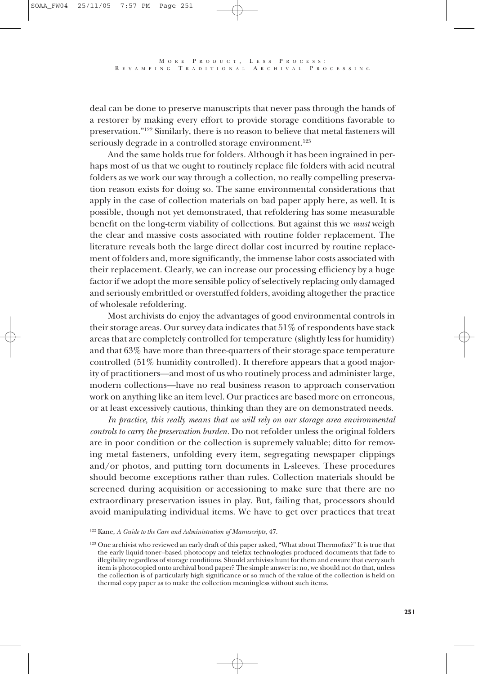deal can be done to preserve manuscripts that never pass through the hands of a restorer by making every effort to provide storage conditions favorable to preservation."122 Similarly, there is no reason to believe that metal fasteners will seriously degrade in a controlled storage environment.<sup>123</sup>

And the same holds true for folders. Although it has been ingrained in perhaps most of us that we ought to routinely replace file folders with acid neutral folders as we work our way through a collection, no really compelling preservation reason exists for doing so. The same environmental considerations that apply in the case of collection materials on bad paper apply here, as well. It is possible, though not yet demonstrated, that refoldering has some measurable benefit on the long-term viability of collections. But against this we *must* weigh the clear and massive costs associated with routine folder replacement. The literature reveals both the large direct dollar cost incurred by routine replacement of folders and, more significantly, the immense labor costs associated with their replacement. Clearly, we can increase our processing efficiency by a huge factor if we adopt the more sensible policy of selectively replacing only damaged and seriously embrittled or overstuffed folders, avoiding altogether the practice of wholesale refoldering.

Most archivists do enjoy the advantages of good environmental controls in their storage areas. Our survey data indicates that 51% of respondents have stack areas that are completely controlled for temperature (slightly less for humidity) and that 63% have more than three-quarters of their storage space temperature controlled (51% humidity controlled). It therefore appears that a good majority of practitioners—and most of us who routinely process and administer large, modern collections—have no real business reason to approach conservation work on anything like an item level. Our practices are based more on erroneous, or at least excessively cautious, thinking than they are on demonstrated needs.

*In practice, this really means that we will rely on our storage area environmental controls to carry the preservation burden.* Do not refolder unless the original folders are in poor condition or the collection is supremely valuable; ditto for removing metal fasteners, unfolding every item, segregating newspaper clippings and/or photos, and putting torn documents in L-sleeves. These procedures should become exceptions rather than rules. Collection materials should be screened during acquisition or accessioning to make sure that there are no extraordinary preservation issues in play. But, failing that, processors should avoid manipulating individual items. We have to get over practices that treat

<sup>122</sup> Kane, *A Guide to the Care and Administration of Manuscripts*, 47.

<sup>123</sup> One archivist who reviewed an early draft of this paper asked, "What about Thermofax?" It is true that the early liquid-toner–based photocopy and telefax technologies produced documents that fade to illegibility regardless of storage conditions. Should archivists hunt for them and ensure that every such item is photocopied onto archival bond paper? The simple answer is: no, we should not do that, unless the collection is of particularly high significance or so much of the value of the collection is held on thermal copy paper as to make the collection meaningless without such items.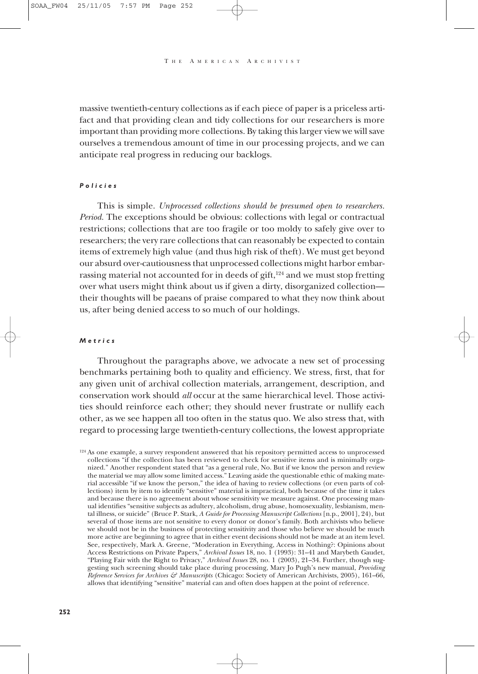massive twentieth-century collections as if each piece of paper is a priceless artifact and that providing clean and tidy collections for our researchers is more important than providing more collections. By taking this larger view we will save ourselves a tremendous amount of time in our processing projects, and we can anticipate real progress in reducing our backlogs.

#### *Policies*

This is simple. *Unprocessed collections should be presumed open to researchers. Period.* The exceptions should be obvious: collections with legal or contractual restrictions; collections that are too fragile or too moldy to safely give over to researchers; the very rare collections that can reasonably be expected to contain items of extremely high value (and thus high risk of theft). We must get beyond our absurd over-cautiousness that unprocessed collections might harbor embarrassing material not accounted for in deeds of gift,<sup>124</sup> and we must stop fretting over what users might think about us if given a dirty, disorganized collection their thoughts will be paeans of praise compared to what they now think about us, after being denied access to so much of our holdings.

#### *Metrics*

Throughout the paragraphs above, we advocate a new set of processing benchmarks pertaining both to quality and efficiency. We stress, first, that for any given unit of archival collection materials, arrangement, description, and conservation work should *all* occur at the same hierarchical level. Those activities should reinforce each other; they should never frustrate or nullify each other, as we see happen all too often in the status quo. We also stress that, with regard to processing large twentieth-century collections, the lowest appropriate

<sup>&</sup>lt;sup>124</sup> As one example, a survey respondent answered that his repository permitted access to unprocessed collections "if the collection has been reviewed to check for sensitive items and is minimally organized." Another respondent stated that "as a general rule, No. But if we know the person and review the material we may allow some limited access." Leaving aside the questionable ethic of making material accessible "if we know the person," the idea of having to review collections (or even parts of collections) item by item to identify "sensitive" material is impractical, both because of the time it takes and because there is no agreement about whose sensitivity we measure against. One processing manual identifies "sensitive subjects as adultery, alcoholism, drug abuse, homosexuality, lesbianism, mental illness, or suicide" (Bruce P. Stark, *A Guide for Processing Manuscript Collections* [n.p., 2001], 24), but several of those items are not sensitive to every donor or donor's family. Both archivists who believe we should not be in the business of protecting sensitivity and those who believe we should be much more active are beginning to agree that in either event decisions should not be made at an item level. See, respectively, Mark A. Greene, "Moderation in Everything, Access in Nothing?: Opinions about Access Restrictions on Private Papers," *Archival Issues* 18, no. 1 (1993): 31–41 and Marybeth Gaudet, "Playing Fair with the Right to Privacy," *Archival Issues* 28, no. 1 (2003), 21–34. Further, though suggesting such screening should take place during processing, Mary Jo Pugh's new manual, *Providing Reference Services for Archives & Manuscripts* (Chicago: Society of American Archivists, 2005), 161–66, allows that identifying "sensitive" material can and often does happen at the point of reference.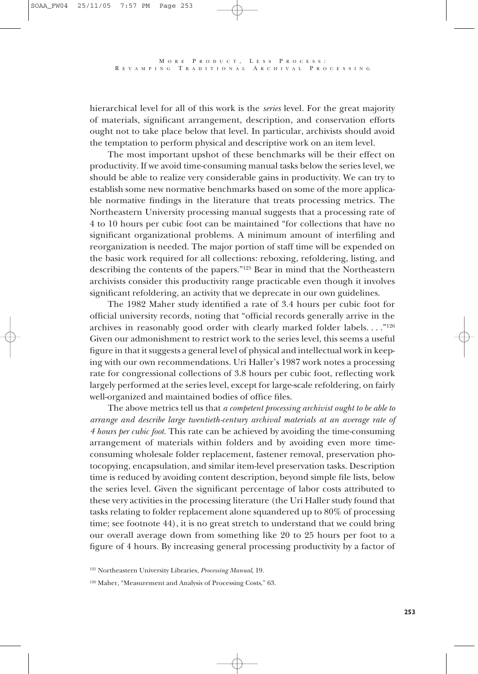hierarchical level for all of this work is the *series* level. For the great majority of materials, significant arrangement, description, and conservation efforts ought not to take place below that level. In particular, archivists should avoid the temptation to perform physical and descriptive work on an item level.

The most important upshot of these benchmarks will be their effect on productivity. If we avoid time-consuming manual tasks below the series level, we should be able to realize very considerable gains in productivity. We can try to establish some new normative benchmarks based on some of the more applicable normative findings in the literature that treats processing metrics. The Northeastern University processing manual suggests that a processing rate of 4 to 10 hours per cubic foot can be maintained "for collections that have no significant organizational problems. A minimum amount of interfiling and reorganization is needed. The major portion of staff time will be expended on the basic work required for all collections: reboxing, refoldering, listing, and describing the contents of the papers."125 Bear in mind that the Northeastern archivists consider this productivity range practicable even though it involves significant refoldering, an activity that we deprecate in our own guidelines.

The 1982 Maher study identified a rate of 3.4 hours per cubic foot for official university records, noting that "official records generally arrive in the archives in reasonably good order with clearly marked folder labels. . . ."126 Given our admonishment to restrict work to the series level, this seems a useful figure in that it suggests a general level of physical and intellectual work in keeping with our own recommendations. Uri Haller's 1987 work notes a processing rate for congressional collections of 3.8 hours per cubic foot, reflecting work largely performed at the series level, except for large-scale refoldering, on fairly well-organized and maintained bodies of office files.

The above metrics tell us that *a competent processing archivist ought to be able to arrange and describe large twentieth-century archival materials at an average rate of 4 hours per cubic foot.* This rate can be achieved by avoiding the time-consuming arrangement of materials within folders and by avoiding even more timeconsuming wholesale folder replacement, fastener removal, preservation photocopying, encapsulation, and similar item-level preservation tasks. Description time is reduced by avoiding content description, beyond simple file lists, below the series level. Given the significant percentage of labor costs attributed to these very activities in the processing literature (the Uri Haller study found that tasks relating to folder replacement alone squandered up to 80% of processing time; see footnote 44), it is no great stretch to understand that we could bring our overall average down from something like 20 to 25 hours per foot to a figure of 4 hours. By increasing general processing productivity by a factor of

<sup>125</sup> Northeastern University Libraries, *Processing Manual*, 19.

<sup>126</sup> Maher, "Measurement and Analysis of Processing Costs," 63.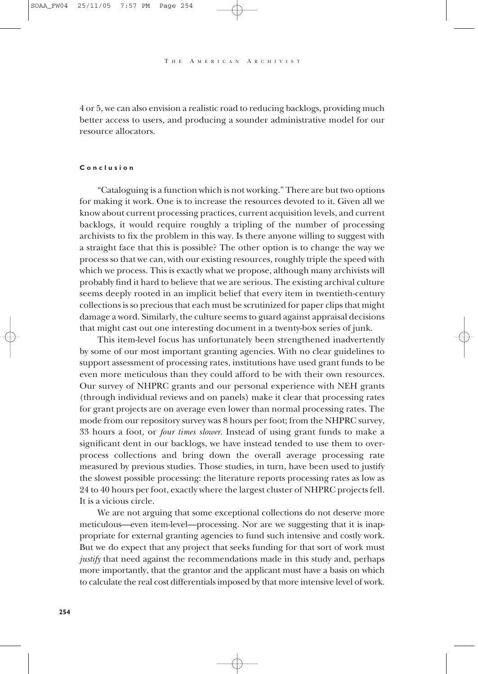4 or 5, we can also envision a realistic road to reducing backlogs, providing much better access to users, and producing a sounder administrative model for our resource allocators.

#### **Conclusion**

"Cataloguing is a function which is not working." There are but two options for making it work. One is to increase the resources devoted to it. Given all we know about current processing practices, current acquisition levels, and current backlogs, it would require roughly a tripling of the number of processing archivists to fix the problem in this way. Is there anyone willing to suggest with a straight face that this is possible? The other option is to change the way we process so that we can, with our existing resources, roughly triple the speed with which we process. This is exactly what we propose, although many archivists will probably find it hard to believe that we are serious. The existing archival culture seems deeply rooted in an implicit belief that every item in twentieth-century collections is so precious that each must be scrutinized for paper clips that might damage a word. Similarly, the culture seems to guard against appraisal decisions that might cast out one interesting document in a twenty-box series of junk.

This item-level focus has unfortunately been strengthened inadvertently by some of our most important granting agencies. With no clear guidelines to support assessment of processing rates, institutions have used grant funds to be even more meticulous than they could afford to be with their own resources. Our survey of NHPRC grants and our personal experience with NEH grants (through individual reviews and on panels) make it clear that processing rates for grant projects are on average even lower than normal processing rates. The mode from our repository survey was 8 hours per foot; from the NHPRC survey, 33 hours a foot, or *four times slower*. Instead of using grant funds to make a significant dent in our backlogs, we have instead tended to use them to overprocess collections and bring down the overall average processing rate measured by previous studies. Those studies, in turn, have been used to justify the slowest possible processing: the literature reports processing rates as low as 24 to 40 hours per foot, exactly where the largest cluster of NHPRC projects fell. It is a vicious circle.

We are not arguing that some exceptional collections do not deserve more meticulous—even item-level—processing. Nor are we suggesting that it is inappropriate for external granting agencies to fund such intensive and costly work. But we do expect that any project that seeks funding for that sort of work must *justify* that need against the recommendations made in this study and, perhaps more importantly, that the grantor and the applicant must have a basis on which to calculate the real cost differentials imposed by that more intensive level of work.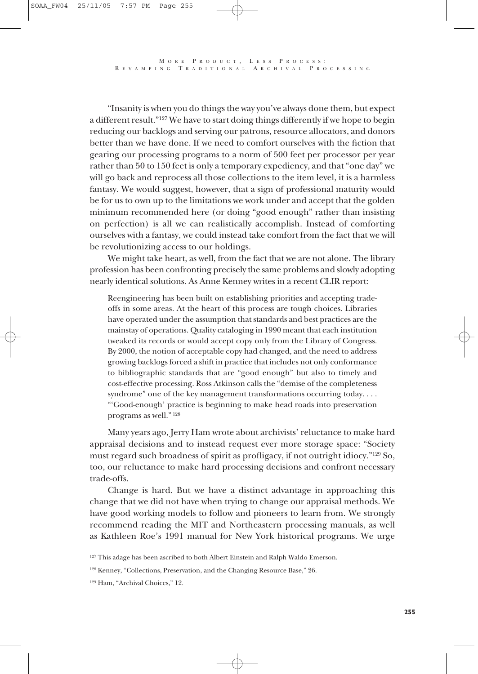"Insanity is when you do things the way you've always done them, but expect a different result."127 We have to start doing things differently if we hope to begin reducing our backlogs and serving our patrons, resource allocators, and donors better than we have done. If we need to comfort ourselves with the fiction that gearing our processing programs to a norm of 500 feet per processor per year rather than 50 to 150 feet is only a temporary expediency, and that "one day" we will go back and reprocess all those collections to the item level, it is a harmless fantasy. We would suggest, however, that a sign of professional maturity would be for us to own up to the limitations we work under and accept that the golden minimum recommended here (or doing "good enough" rather than insisting on perfection) is all we can realistically accomplish. Instead of comforting ourselves with a fantasy, we could instead take comfort from the fact that we will be revolutionizing access to our holdings.

We might take heart, as well, from the fact that we are not alone. The library profession has been confronting precisely the same problems and slowly adopting nearly identical solutions. As Anne Kenney writes in a recent CLIR report:

Reengineering has been built on establishing priorities and accepting tradeoffs in some areas. At the heart of this process are tough choices. Libraries have operated under the assumption that standards and best practices are the mainstay of operations. Quality cataloging in 1990 meant that each institution tweaked its records or would accept copy only from the Library of Congress. By 2000, the notion of acceptable copy had changed, and the need to address growing backlogs forced a shift in practice that includes not only conformance to bibliographic standards that are "good enough" but also to timely and cost-effective processing. Ross Atkinson calls the "demise of the completeness syndrome" one of the key management transformations occurring today.... "'Good-enough' practice is beginning to make head roads into preservation programs as well." <sup>128</sup>

Many years ago, Jerry Ham wrote about archivists' reluctance to make hard appraisal decisions and to instead request ever more storage space: "Society must regard such broadness of spirit as profligacy, if not outright idiocy."129 So, too, our reluctance to make hard processing decisions and confront necessary trade-offs.

Change is hard. But we have a distinct advantage in approaching this change that we did not have when trying to change our appraisal methods. We have good working models to follow and pioneers to learn from. We strongly recommend reading the MIT and Northeastern processing manuals, as well as Kathleen Roe's 1991 manual for New York historical programs. We urge

<sup>&</sup>lt;sup>127</sup> This adage has been ascribed to both Albert Einstein and Ralph Waldo Emerson.

<sup>128</sup> Kenney, "Collections, Preservation, and the Changing Resource Base," 26.

<sup>129</sup> Ham, "Archival Choices," 12.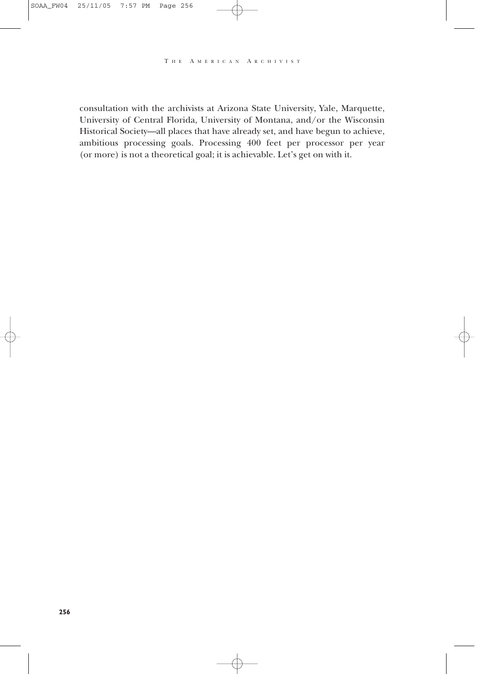consultation with the archivists at Arizona State University, Yale, Marquette, University of Central Florida, University of Montana, and/or the Wisconsin Historical Society—all places that have already set, and have begun to achieve, ambitious processing goals. Processing 400 feet per processor per year (or more) is not a theoretical goal; it is achievable. Let's get on with it.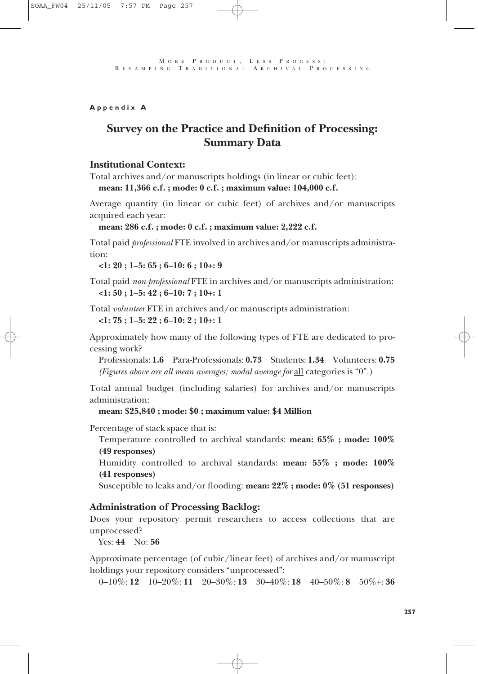**Appendix A**

# **Survey on the Practice and Definition of Processing: Summary Data**

## **Institutional Context:**

Total archives and/or manuscripts holdings (in linear or cubic feet): **mean: 11,366 c.f. ; mode: 0 c.f. ; maximum value: 104,000 c.f.**

Average quantity (in linear or cubic feet) of archives and/or manuscripts acquired each year:

**mean: 286 c.f. ; mode: 0 c.f. ; maximum value: 2,222 c.f.**

Total paid *professional* FTE involved in archives and/or manuscripts administration:

**<1: 20 ; 1–5: 65 ; 6–10: 6 ; 10+: 9**

Total paid *non-professional* FTE in archives and/or manuscripts administration: **<1: 50 ; 1–5: 42 ; 6–10: 7 ; 10+: 1**

Total *volunteer* FTE in archives and/or manuscripts administration: **<1: 75 ; 1–5: 22 ; 6–10: 2 ; 10+: 1**

Approximately how many of the following types of FTE are dedicated to processing work?

Professionals: **1.6** Para-Professionals: **0.73** Students: **1.34** Volunteers: **0.75** *(Figures above are all mean averages; modal average for <u>all</u> categories is "0".)* 

Total annual budget (including salaries) for archives and/or manuscripts administration:

**mean: \$25,840 ; mode: \$0 ; maximum value: \$4 Million**

Percentage of stack space that is:

Temperature controlled to archival standards: **mean: 65% ; mode: 100% (49 responses)**

Humidity controlled to archival standards: **mean: 55% ; mode: 100% (41 responses)**

Susceptible to leaks and/or flooding: **mean: 22% ; mode: 0% (51 responses)**

## **Administration of Processing Backlog:**

Does your repository permit researchers to access collections that are unprocessed?

Yes: **44** No: **56**

Approximate percentage (of cubic/linear feet) of archives and/or manuscript holdings your repository considers "unprocessed":

0–10%: **12** 10–20%: **11** 20–30%: **13** 30–40%: **18** 40–50%: **8** 50%+: **36**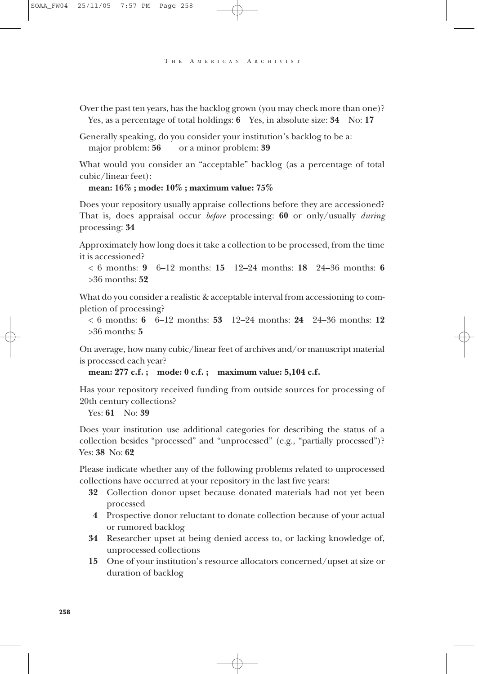Over the past ten years, has the backlog grown (you may check more than one)? Yes, as a percentage of total holdings: **6** Yes, in absolute size: **34** No: **17**

Generally speaking, do you consider your institution's backlog to be a: major problem: **56** or a minor problem: **39**

What would you consider an "acceptable" backlog (as a percentage of total cubic/linear feet):

**mean: 16% ; mode: 10% ; maximum value: 75%**

Does your repository usually appraise collections before they are accessioned? That is, does appraisal occur *before* processing: **60** or only/usually *during* processing: **34**

Approximately how long does it take a collection to be processed, from the time it is accessioned?

< 6 months: **9** 6–12 months: **15** 12–24 months: **18** 24–36 months: **6** >36 months: **52**

What do you consider a realistic & acceptable interval from accessioning to completion of processing?

< 6 months: **6** 6–12 months: **53** 12–24 months: **24** 24–36 months: **12** >36 months: **5**

On average, how many cubic/linear feet of archives and/or manuscript material is processed each year?

**mean: 277 c.f. ; mode: 0 c.f. ; maximum value: 5,104 c.f.**

Has your repository received funding from outside sources for processing of 20th century collections?

Yes: **61** No: **39**

Does your institution use additional categories for describing the status of a collection besides "processed" and "unprocessed" (e.g., "partially processed")? Yes: **38** No: **62**

Please indicate whether any of the following problems related to unprocessed collections have occurred at your repository in the last five years:

- **32** Collection donor upset because donated materials had not yet been processed
- **4** Prospective donor reluctant to donate collection because of your actual or rumored backlog
- **34** Researcher upset at being denied access to, or lacking knowledge of, unprocessed collections
- **15** One of your institution's resource allocators concerned/upset at size or duration of backlog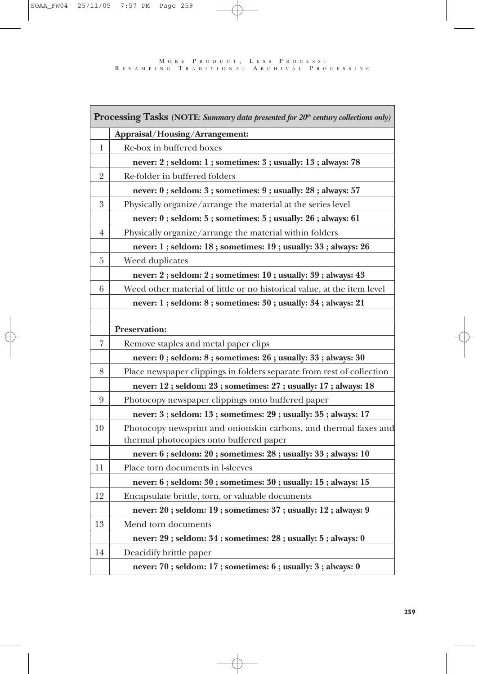| <b>Processing Tasks</b> (NOTE: Summary data presented for $20th$ century collections only) |                                                                         |  |  |  |  |
|--------------------------------------------------------------------------------------------|-------------------------------------------------------------------------|--|--|--|--|
|                                                                                            | Appraisal/Housing/Arrangement:                                          |  |  |  |  |
| 1                                                                                          | Re-box in buffered boxes                                                |  |  |  |  |
|                                                                                            | never: 2; seldom: 1; sometimes: 3; usually: 13; always: 78              |  |  |  |  |
| $\overline{2}$                                                                             | Re-folder in buffered folders                                           |  |  |  |  |
|                                                                                            | never: 0; seldom: 3; sometimes: 9; usually: 28; always: 57              |  |  |  |  |
| 3                                                                                          | Physically organize/arrange the material at the series level            |  |  |  |  |
|                                                                                            | never: 0; seldom: 5; sometimes: 5; usually: 26; always: 61              |  |  |  |  |
| $\overline{4}$                                                                             | Physically organize/arrange the material within folders                 |  |  |  |  |
|                                                                                            | never: 1; seldom: 18; sometimes: 19; usually: 33; always: 26            |  |  |  |  |
| 5                                                                                          | Weed duplicates                                                         |  |  |  |  |
|                                                                                            | never: 2; seldom: 2; sometimes: 10; usually: 39; always: 43             |  |  |  |  |
| 6                                                                                          | Weed other material of little or no historical value, at the item level |  |  |  |  |
|                                                                                            | never: 1; seldom: 8; sometimes: 30; usually: 34; always: 21             |  |  |  |  |
|                                                                                            |                                                                         |  |  |  |  |
|                                                                                            | <b>Preservation:</b>                                                    |  |  |  |  |
| 7                                                                                          | Remove staples and metal paper clips                                    |  |  |  |  |
|                                                                                            | never: 0; seldom: 8; sometimes: 26; usually: 33; always: 30             |  |  |  |  |
| 8                                                                                          | Place newspaper clippings in folders separate from rest of collection   |  |  |  |  |
|                                                                                            | never: 12; seldom: 23; sometimes: 27; usually: 17; always: 18           |  |  |  |  |
| $\boldsymbol{9}$                                                                           | Photocopy newspaper clippings onto buffered paper                       |  |  |  |  |
|                                                                                            | never: 3; seldom: 13; sometimes: 29; usually: 35; always: 17            |  |  |  |  |
| 10                                                                                         | Photocopy newsprint and onionskin carbons, and thermal faxes and        |  |  |  |  |
|                                                                                            | thermal photocopies onto buffered paper                                 |  |  |  |  |
|                                                                                            | never: 6; seldom: 20; sometimes: 28; usually: 33; always: 10            |  |  |  |  |
| 11                                                                                         | Place torn documents in l-sleeves                                       |  |  |  |  |
|                                                                                            | never: 6; seldom: 30; sometimes: 30; usually: 15; always: 15            |  |  |  |  |
| 12                                                                                         | Encapsulate brittle, torn, or valuable documents                        |  |  |  |  |
|                                                                                            | never: 20; seldom: 19; sometimes: 37; usually: 12; always: 9            |  |  |  |  |
| 13                                                                                         | Mend torn documents                                                     |  |  |  |  |
|                                                                                            | never: 29 ; seldom: 34 ; sometimes: 28 ; usually: 5 ; always: 0         |  |  |  |  |
| 14                                                                                         | Deacidify brittle paper                                                 |  |  |  |  |
|                                                                                            | never: 70 ; seldom: 17 ; sometimes: 6 ; usually: 3 ; always: 0          |  |  |  |  |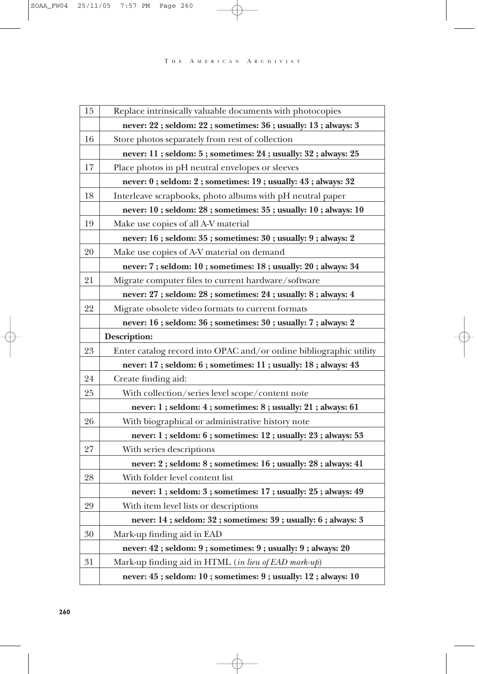| 15                                                           | Replace intrinsically valuable documents with photocopies          |  |  |  |  |
|--------------------------------------------------------------|--------------------------------------------------------------------|--|--|--|--|
| never: 22; seldom: 22; sometimes: 36; usually: 13; always: 3 |                                                                    |  |  |  |  |
| 16                                                           | Store photos separately from rest of collection                    |  |  |  |  |
|                                                              | never: 11; seldom: 5; sometimes: 24; usually: 32; always: 25       |  |  |  |  |
| 17                                                           | Place photos in pH neutral envelopes or sleeves                    |  |  |  |  |
|                                                              | never: 0; seldom: 2; sometimes: 19; usually: 43; always: 32        |  |  |  |  |
| 18                                                           | Interleave scrapbooks, photo albums with pH neutral paper          |  |  |  |  |
|                                                              | never: 10; seldom: 28; sometimes: 35; usually: 10; always: 10      |  |  |  |  |
| 19                                                           | Make use copies of all A-V material                                |  |  |  |  |
|                                                              | never: 16; seldom: 35; sometimes: 30; usually: 9; always: 2        |  |  |  |  |
| 20                                                           | Make use copies of A-V material on demand                          |  |  |  |  |
| never: 7; seldom: 10; sometimes: 18; usually: 20; always: 34 |                                                                    |  |  |  |  |
| 21                                                           | Migrate computer files to current hardware/software                |  |  |  |  |
|                                                              | never: 27 ; seldom: 28 ; sometimes: 24 ; usually: 8 ; always: 4    |  |  |  |  |
| 22                                                           | Migrate obsolete video formats to current formats                  |  |  |  |  |
|                                                              | never: 16; seldom: 36; sometimes: 30; usually: 7; always: 2        |  |  |  |  |
|                                                              | <b>Description:</b>                                                |  |  |  |  |
| 23                                                           | Enter catalog record into OPAC and/or online bibliographic utility |  |  |  |  |
|                                                              | never: 17; seldom: 6; sometimes: 11; usually: 18; always: 43       |  |  |  |  |
| 24                                                           | Create finding aid:                                                |  |  |  |  |
| 25                                                           | With collection/series level scope/content note                    |  |  |  |  |
|                                                              | never: 1 ; seldom: 4 ; sometimes: 8 ; usually: 21 ; always: 61     |  |  |  |  |
| 26                                                           | With biographical or administrative history note                   |  |  |  |  |
|                                                              | never: 1; seldom: 6; sometimes: 12; usually: 23; always: 53        |  |  |  |  |
| 27                                                           | With series descriptions                                           |  |  |  |  |
|                                                              | never: 2; seldom: 8; sometimes: 16; usually: 28; always: 41        |  |  |  |  |
| 28                                                           | With folder level content list                                     |  |  |  |  |
|                                                              | never: 1; seldom: 3; sometimes: 17; usually: 25; always: 49        |  |  |  |  |
| 29                                                           | With item level lists or descriptions                              |  |  |  |  |
|                                                              | never: 14; seldom: 32; sometimes: 39; usually: 6; always: 3        |  |  |  |  |
| 30                                                           | Mark-up finding aid in EAD                                         |  |  |  |  |
|                                                              | never: 42; seldom: 9; sometimes: 9; usually: 9; always: 20         |  |  |  |  |
| 31                                                           | Mark-up finding aid in HTML (in lieu of EAD mark-up)               |  |  |  |  |
|                                                              | never: 45; seldom: 10; sometimes: 9; usually: 12; always: 10       |  |  |  |  |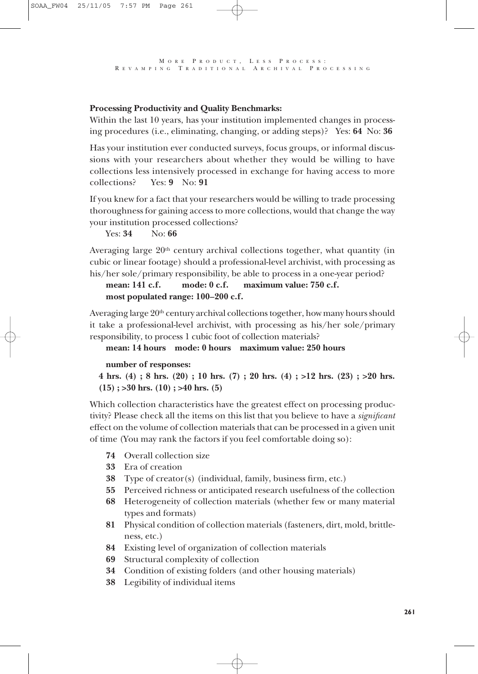## **Processing Productivity and Quality Benchmarks:**

Within the last 10 years, has your institution implemented changes in processing procedures (i.e., eliminating, changing, or adding steps)? Yes: **64** No: **36**

Has your institution ever conducted surveys, focus groups, or informal discussions with your researchers about whether they would be willing to have collections less intensively processed in exchange for having access to more collections? Yes: **9** No: **91**

If you knew for a fact that your researchers would be willing to trade processing thoroughness for gaining access to more collections, would that change the way your institution processed collections?

Yes: **34** No: **66**

Averaging large 20<sup>th</sup> century archival collections together, what quantity (in cubic or linear footage) should a professional-level archivist, with processing as his/her sole/primary responsibility, be able to process in a one-year period?

## **mean: 141 c.f. mode: 0 c.f. maximum value: 750 c.f. most populated range: 100–200 c.f.**

Averaging large 20<sup>th</sup> century archival collections together, how many hours should it take a professional-level archivist, with processing as his/her sole/primary responsibility, to process 1 cubic foot of collection materials?

**mean: 14 hours mode: 0 hours maximum value: 250 hours**

### **number of responses:**

```
4 hrs. (4) ; 8 hrs. (20) ; 10 hrs. (7) ; 20 hrs. (4) ; >12 hrs. (23) ; >20 hrs.
(15) ; >30 hrs. (10) ; >40 hrs. (5)
```
Which collection characteristics have the greatest effect on processing productivity? Please check all the items on this list that you believe to have a *significant* effect on the volume of collection materials that can be processed in a given unit of time (You may rank the factors if you feel comfortable doing so):

- **74** Overall collection size
- **33** Era of creation
- **38** Type of creator(s) (individual, family, business firm, etc.)
- **55** Perceived richness or anticipated research usefulness of the collection
- **68** Heterogeneity of collection materials (whether few or many material types and formats)
- **81** Physical condition of collection materials (fasteners, dirt, mold, brittleness, etc.)
- **84** Existing level of organization of collection materials
- **69** Structural complexity of collection
- **34** Condition of existing folders (and other housing materials)
- **38** Legibility of individual items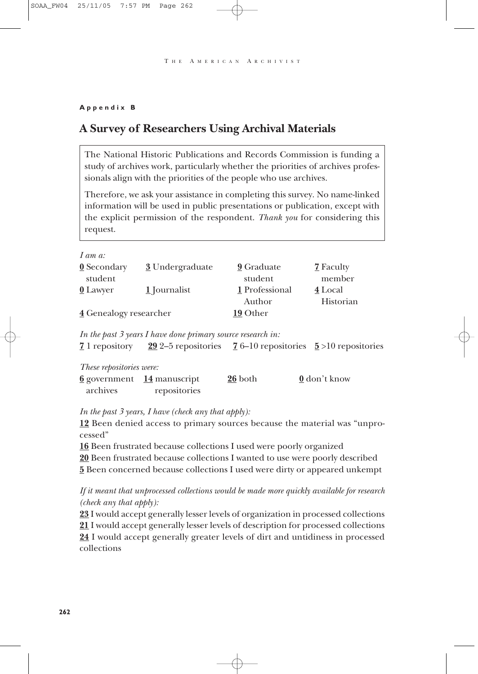#### **Appendix B**

## **A Survey of Researchers Using Archival Materials**

The National Historic Publications and Records Commission is funding a study of archives work, particularly whether the priorities of archives professionals align with the priorities of the people who use archives.

Therefore, we ask your assistance in completing this survey. No name-linked information will be used in public presentations or publication, except with the explicit permission of the respondent. *Thank you* for considering this request.

#### *I am a:*

| $Q$ Secondary                   | 3 Undergraduate     | <b>9</b> Graduate | <b>7</b> Faculty |
|---------------------------------|---------------------|-------------------|------------------|
| student                         |                     | student           | member           |
| $\underline{\mathbf{0}}$ Lawyer | <b>1</b> Journalist | 1 Professional    | 4 Local          |
|                                 |                     | Author            | Historian        |
| 4 Genealogy researcher          |                     | 19 Other          |                  |

*In the past 3 years I have done primary source research in:*

**7** 1 repository **29** 2–5 repositories **7** 6–10 repositories **5** >10 repositories

#### *These repositories were:*

|          | $\underline{6}$ government $\underline{14}$ manuscript | $26$ both | 0 don't know |
|----------|--------------------------------------------------------|-----------|--------------|
| archives | repositories                                           |           |              |

*In the past 3 years, I have (check any that apply):*

**12** Been denied access to primary sources because the material was "unprocessed"

**16** Been frustrated because collections I used were poorly organized

**20** Been frustrated because collections I wanted to use were poorly described

**5** Been concerned because collections I used were dirty or appeared unkempt

*If it meant that unprocessed collections would be made more quickly available for research (check any that apply):*

 I would accept generally lesser levels of organization in processed collections I would accept generally lesser levels of description for processed collections I would accept generally greater levels of dirt and untidiness in processed collections